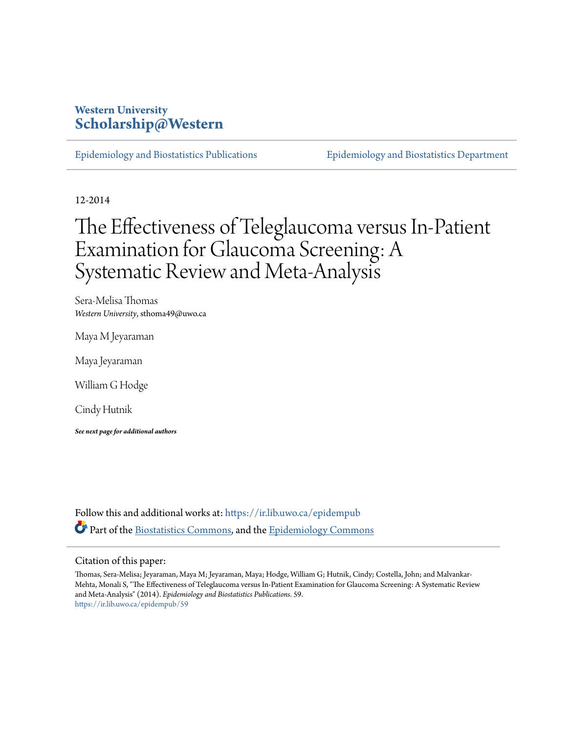## **Western University [Scholarship@Western](https://ir.lib.uwo.ca?utm_source=ir.lib.uwo.ca%2Fepidempub%2F59&utm_medium=PDF&utm_campaign=PDFCoverPages)**

[Epidemiology and Biostatistics Publications](https://ir.lib.uwo.ca/epidempub?utm_source=ir.lib.uwo.ca%2Fepidempub%2F59&utm_medium=PDF&utm_campaign=PDFCoverPages) [Epidemiology and Biostatistics Department](https://ir.lib.uwo.ca/epidem?utm_source=ir.lib.uwo.ca%2Fepidempub%2F59&utm_medium=PDF&utm_campaign=PDFCoverPages)

12-2014

# The Effectiveness of Teleglaucoma versus In-Patient Examination for Glaucoma Screening: A Systematic Review and Meta-Analysis

Sera-Melisa Thomas *Western University*, sthoma49@uwo.ca

Maya M Jeyaraman

Maya Jeyaraman

William G Hodge

Cindy Hutnik

*See next page for additional authors*

Follow this and additional works at: [https://ir.lib.uwo.ca/epidempub](https://ir.lib.uwo.ca/epidempub?utm_source=ir.lib.uwo.ca%2Fepidempub%2F59&utm_medium=PDF&utm_campaign=PDFCoverPages) Part of the [Biostatistics Commons,](http://network.bepress.com/hgg/discipline/210?utm_source=ir.lib.uwo.ca%2Fepidempub%2F59&utm_medium=PDF&utm_campaign=PDFCoverPages) and the [Epidemiology Commons](http://network.bepress.com/hgg/discipline/740?utm_source=ir.lib.uwo.ca%2Fepidempub%2F59&utm_medium=PDF&utm_campaign=PDFCoverPages)

#### Citation of this paper:

Thomas, Sera-Melisa; Jeyaraman, Maya M; Jeyaraman, Maya; Hodge, William G; Hutnik, Cindy; Costella, John; and Malvankar-Mehta, Monali S, "The Effectiveness of Teleglaucoma versus In-Patient Examination for Glaucoma Screening: A Systematic Review and Meta-Analysis" (2014). *Epidemiology and Biostatistics Publications*. 59. [https://ir.lib.uwo.ca/epidempub/59](https://ir.lib.uwo.ca/epidempub/59?utm_source=ir.lib.uwo.ca%2Fepidempub%2F59&utm_medium=PDF&utm_campaign=PDFCoverPages)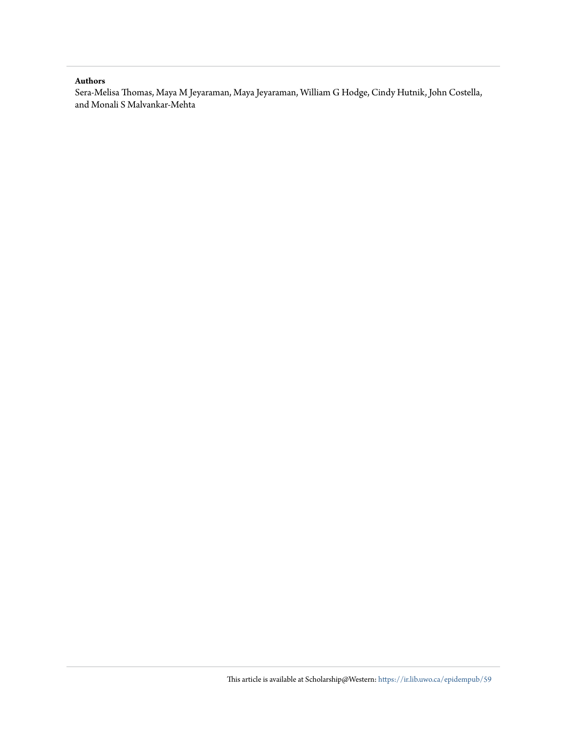#### **Authors**

Sera-Melisa Thomas, Maya M Jeyaraman, Maya Jeyaraman, William G Hodge, Cindy Hutnik, John Costella, and Monali S Malvankar-Mehta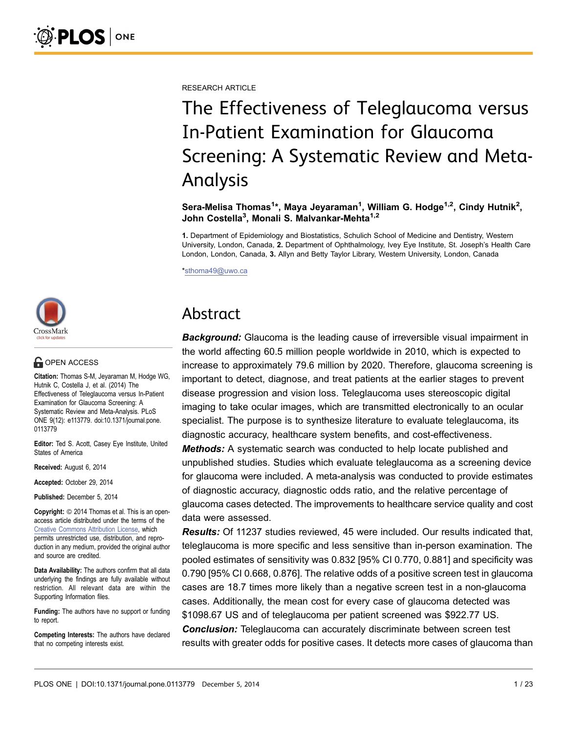RESEARCH ARTICLE

# The Effectiveness of Teleglaucoma versus In-Patient Examination for Glaucoma Screening: A Systematic Review and Meta-Analysis

Sera-Melisa Thomas<sup>1</sup>\*, Maya Jeyaraman<sup>1</sup>, William G. Hodge<sup>1,2</sup>, Cindy Hutnik<sup>2</sup>, John Costella<sup>3</sup>, Monali S. Malvankar-Mehta<sup>1,2</sup>

1. Department of Epidemiology and Biostatistics, Schulich School of Medicine and Dentistry, Western University, London, Canada, 2. Department of Ophthalmology, Ivey Eye Institute, St. Joseph's Health Care London, London, Canada, 3. Allyn and Betty Taylor Library, Western University, London, Canada

\*sthoma49@uwo.ca

## Abstract

**Background:** Glaucoma is the leading cause of irreversible visual impairment in the world affecting 60.5 million people worldwide in 2010, which is expected to increase to approximately 79.6 million by 2020. Therefore, glaucoma screening is important to detect, diagnose, and treat patients at the earlier stages to prevent disease progression and vision loss. Teleglaucoma uses stereoscopic digital imaging to take ocular images, which are transmitted electronically to an ocular specialist. The purpose is to synthesize literature to evaluate teleglaucoma, its diagnostic accuracy, healthcare system benefits, and cost-effectiveness.

**Methods:** A systematic search was conducted to help locate published and unpublished studies. Studies which evaluate teleglaucoma as a screening device for glaucoma were included. A meta-analysis was conducted to provide estimates of diagnostic accuracy, diagnostic odds ratio, and the relative percentage of glaucoma cases detected. The improvements to healthcare service quality and cost data were assessed.

Results: Of 11237 studies reviewed, 45 were included. Our results indicated that, teleglaucoma is more specific and less sensitive than in-person examination. The pooled estimates of sensitivity was 0.832 [95% CI 0.770, 0.881] and specificity was 0.790 [95% CI 0.668, 0.876]. The relative odds of a positive screen test in glaucoma cases are 18.7 times more likely than a negative screen test in a non-glaucoma cases. Additionally, the mean cost for every case of glaucoma detected was \$1098.67 US and of teleglaucoma per patient screened was \$922.77 US. **Conclusion:** Teleglaucoma can accurately discriminate between screen test results with greater odds for positive cases. It detects more cases of glaucoma than



## **G** OPEN ACCESS

Citation: Thomas S-M, Jeyaraman M, Hodge WG, Hutnik C, Costella J, et al. (2014) The Effectiveness of Teleglaucoma versus In-Patient Examination for Glaucoma Screening: A Systematic Review and Meta-Analysis. PLoS ONE 9(12): e113779. doi:10.1371/journal.pone. 0113779

Editor: Ted S. Acott, Casey Eye Institute, United States of America

Received: August 6, 2014

Accepted: October 29, 2014

Published: December 5, 2014

**Copyright:** © 2014 Thomas et al. This is an openaccess article distributed under the terms of the [Creative Commons Attribution License,](http://creativecommons.org/licenses/by/4.0/) which permits unrestricted use, distribution, and reproduction in any medium, provided the original author and source are credited.

Data Availability: The authors confirm that all data underlying the findings are fully available without restriction. All relevant data are within the Supporting Information files.

Funding: The authors have no support or funding to report.

Competing Interests: The authors have declared that no competing interests exist.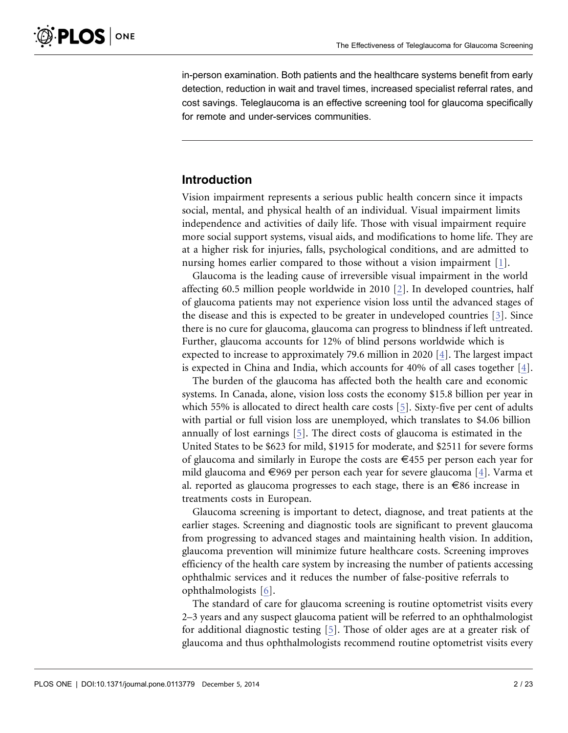in-person examination. Both patients and the healthcare systems benefit from early detection, reduction in wait and travel times, increased specialist referral rates, and cost savings. Teleglaucoma is an effective screening tool for glaucoma specifically for remote and under-services communities.

## Introduction

Vision impairment represents a serious public health concern since it impacts social, mental, and physical health of an individual. Visual impairment limits independence and activities of daily life. Those with visual impairment require more social support systems, visual aids, and modifications to home life. They are at a higher risk for injuries, falls, psychological conditions, and are admitted to nursing homes earlier compared to those without a vision impairment [\[1\]](#page-21-0).

Glaucoma is the leading cause of irreversible visual impairment in the world affecting 60.5 million people worldwide in 2010 [\[2\]](#page-21-0). In developed countries, half of glaucoma patients may not experience vision loss until the advanced stages of the disease and this is expected to be greater in undeveloped countries [\[3\]](#page-21-0). Since there is no cure for glaucoma, glaucoma can progress to blindness if left untreated. Further, glaucoma accounts for 12% of blind persons worldwide which is expected to increase to approximately 79.6 million in 2020 [\[4\].](#page-21-0) The largest impact is expected in China and India, which accounts for 40% of all cases together  $[4]$ .

The burden of the glaucoma has affected both the health care and economic systems. In Canada, alone, vision loss costs the economy \$15.8 billion per year in which 55% is allocated to direct health care costs [\[5\]](#page-21-0). Sixty-five per cent of adults with partial or full vision loss are unemployed, which translates to \$4.06 billion annually of lost earnings [\[5\].](#page-21-0) The direct costs of glaucoma is estimated in the United States to be \$623 for mild, \$1915 for moderate, and \$2511 for severe forms of glaucoma and similarly in Europe the costs are  $\epsilon$ 455 per person each year for mild glaucoma and  $\in$ 969 per person each year for severe glaucoma [\[4\]](#page-21-0). Varma et al. reported as glaucoma progresses to each stage, there is an  $\epsilon$ 86 increase in treatments costs in European.

Glaucoma screening is important to detect, diagnose, and treat patients at the earlier stages. Screening and diagnostic tools are significant to prevent glaucoma from progressing to advanced stages and maintaining health vision. In addition, glaucoma prevention will minimize future healthcare costs. Screening improves efficiency of the health care system by increasing the number of patients accessing ophthalmic services and it reduces the number of false-positive referrals to ophthalmologists [\[6\]](#page-21-0).

The standard of care for glaucoma screening is routine optometrist visits every 2–3 years and any suspect glaucoma patient will be referred to an ophthalmologist for additional diagnostic testing [\[5\].](#page-21-0) Those of older ages are at a greater risk of glaucoma and thus ophthalmologists recommend routine optometrist visits every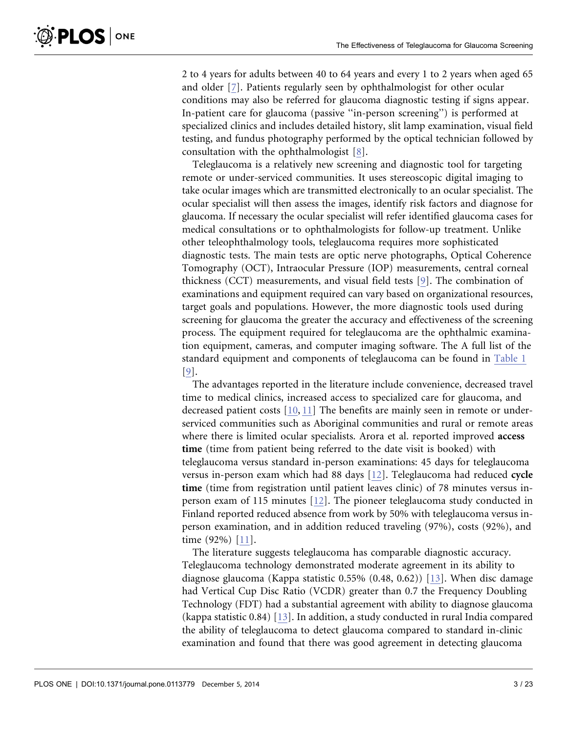$\delta$ -PLOS  $|$  one

2 to 4 years for adults between 40 to 64 years and every 1 to 2 years when aged 65 and older [\[7\]](#page-22-0). Patients regularly seen by ophthalmologist for other ocular conditions may also be referred for glaucoma diagnostic testing if signs appear. In-patient care for glaucoma (passive ''in-person screening'') is performed at specialized clinics and includes detailed history, slit lamp examination, visual field testing, and fundus photography performed by the optical technician followed by consultation with the ophthalmologist [\[8\]](#page-22-0).

Teleglaucoma is a relatively new screening and diagnostic tool for targeting remote or under-serviced communities. It uses stereoscopic digital imaging to take ocular images which are transmitted electronically to an ocular specialist. The ocular specialist will then assess the images, identify risk factors and diagnose for glaucoma. If necessary the ocular specialist will refer identified glaucoma cases for medical consultations or to ophthalmologists for follow-up treatment. Unlike other teleophthalmology tools, teleglaucoma requires more sophisticated diagnostic tests. The main tests are optic nerve photographs, Optical Coherence Tomography (OCT), Intraocular Pressure (IOP) measurements, central corneal thickness (CCT) measurements, and visual field tests [\[9\]](#page-22-0). The combination of examinations and equipment required can vary based on organizational resources, target goals and populations. However, the more diagnostic tools used during screening for glaucoma the greater the accuracy and effectiveness of the screening process. The equipment required for teleglaucoma are the ophthalmic examination equipment, cameras, and computer imaging software. The A full list of the standard equipment and components of teleglaucoma can be found in [Table 1](#page-5-0) [\[9\]](#page-22-0).

The advantages reported in the literature include convenience, decreased travel time to medical clinics, increased access to specialized care for glaucoma, and decreased patient costs [\[10,](#page-22-0) [11\]](#page-22-0) The benefits are mainly seen in remote or underserviced communities such as Aboriginal communities and rural or remote areas where there is limited ocular specialists. Arora et al. reported improved access time (time from patient being referred to the date visit is booked) with teleglaucoma versus standard in-person examinations: 45 days for teleglaucoma versus in-person exam which had 88 days [\[12\].](#page-22-0) Teleglaucoma had reduced cycle time (time from registration until patient leaves clinic) of 78 minutes versus inperson exam of 115 minutes [\[12\].](#page-22-0) The pioneer teleglaucoma study conducted in Finland reported reduced absence from work by 50% with teleglaucoma versus inperson examination, and in addition reduced traveling (97%), costs (92%), and time (92%) [\[11\].](#page-22-0)

The literature suggests teleglaucoma has comparable diagnostic accuracy. Teleglaucoma technology demonstrated moderate agreement in its ability to diagnose glaucoma (Kappa statistic 0.55% (0.48, 0.62)) [\[13\]](#page-22-0). When disc damage had Vertical Cup Disc Ratio (VCDR) greater than 0.7 the Frequency Doubling Technology (FDT) had a substantial agreement with ability to diagnose glaucoma (kappa statistic 0.84) [\[13\].](#page-22-0) In addition, a study conducted in rural India compared the ability of teleglaucoma to detect glaucoma compared to standard in-clinic examination and found that there was good agreement in detecting glaucoma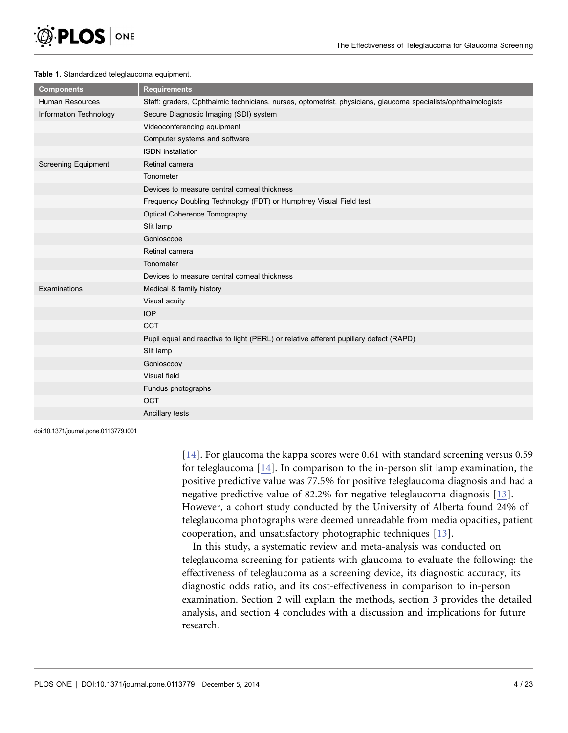<span id="page-5-0"></span>

#### Table 1. Standardized teleglaucoma equipment.

| <b>Components</b>          | <b>Requirements</b>                                                                                            |
|----------------------------|----------------------------------------------------------------------------------------------------------------|
| Human Resources            | Staff: graders, Ophthalmic technicians, nurses, optometrist, physicians, glaucoma specialists/ophthalmologists |
| Information Technology     | Secure Diagnostic Imaging (SDI) system                                                                         |
|                            | Videoconferencing equipment                                                                                    |
|                            | Computer systems and software                                                                                  |
|                            | <b>ISDN</b> installation                                                                                       |
| <b>Screening Equipment</b> | Retinal camera                                                                                                 |
|                            | Tonometer                                                                                                      |
|                            | Devices to measure central corneal thickness                                                                   |
|                            | Frequency Doubling Technology (FDT) or Humphrey Visual Field test                                              |
|                            | Optical Coherence Tomography                                                                                   |
|                            | Slit lamp                                                                                                      |
|                            | Gonioscope                                                                                                     |
|                            | Retinal camera                                                                                                 |
|                            | Tonometer                                                                                                      |
|                            | Devices to measure central corneal thickness                                                                   |
| Examinations               | Medical & family history                                                                                       |
|                            | Visual acuity                                                                                                  |
|                            | <b>IOP</b>                                                                                                     |
|                            | <b>CCT</b>                                                                                                     |
|                            | Pupil equal and reactive to light (PERL) or relative afferent pupillary defect (RAPD)                          |
|                            | Slit lamp                                                                                                      |
|                            | Gonioscopy                                                                                                     |
|                            | Visual field                                                                                                   |
|                            | Fundus photographs                                                                                             |
|                            | OCT                                                                                                            |
|                            | Ancillary tests                                                                                                |

doi:10.1371/journal.pone.0113779.t001

[\[14\].](#page-22-0) For glaucoma the kappa scores were 0.61 with standard screening versus 0.59 for teleglaucoma [\[14\].](#page-22-0) In comparison to the in-person slit lamp examination, the positive predictive value was 77.5% for positive teleglaucoma diagnosis and had a negative predictive value of 82.2% for negative teleglaucoma diagnosis [\[13\]](#page-22-0). However, a cohort study conducted by the University of Alberta found 24% of teleglaucoma photographs were deemed unreadable from media opacities, patient cooperation, and unsatisfactory photographic techniques [\[13\].](#page-22-0)

In this study, a systematic review and meta-analysis was conducted on teleglaucoma screening for patients with glaucoma to evaluate the following: the effectiveness of teleglaucoma as a screening device, its diagnostic accuracy, its diagnostic odds ratio, and its cost-effectiveness in comparison to in-person examination. Section 2 will explain the methods, section 3 provides the detailed analysis, and section 4 concludes with a discussion and implications for future research.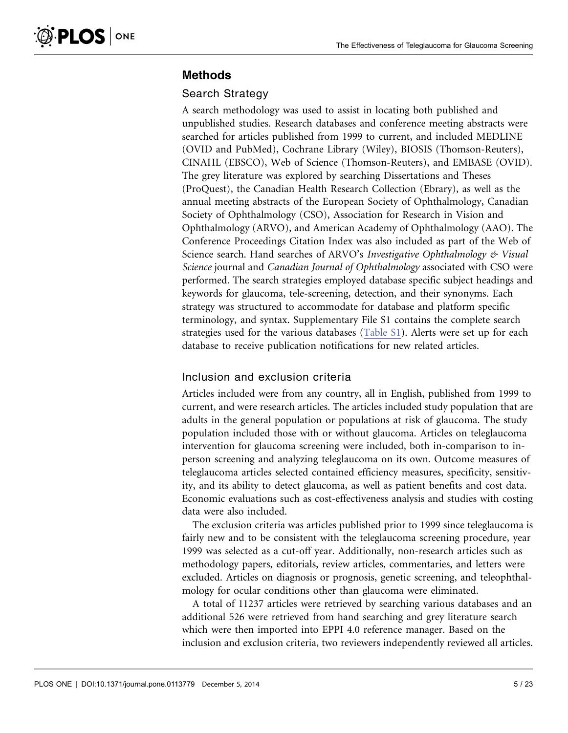## Methods

## Search Strategy

A search methodology was used to assist in locating both published and unpublished studies. Research databases and conference meeting abstracts were searched for articles published from 1999 to current, and included MEDLINE (OVID and PubMed), Cochrane Library (Wiley), BIOSIS (Thomson-Reuters), CINAHL (EBSCO), Web of Science (Thomson-Reuters), and EMBASE (OVID). The grey literature was explored by searching Dissertations and Theses (ProQuest), the Canadian Health Research Collection (Ebrary), as well as the annual meeting abstracts of the European Society of Ophthalmology, Canadian Society of Ophthalmology (CSO), Association for Research in Vision and Ophthalmology (ARVO), and American Academy of Ophthalmology (AAO). The Conference Proceedings Citation Index was also included as part of the Web of Science search. Hand searches of ARVO's Investigative Ophthalmology & Visual Science journal and Canadian Journal of Ophthalmology associated with CSO were performed. The search strategies employed database specific subject headings and keywords for glaucoma, tele-screening, detection, and their synonyms. Each strategy was structured to accommodate for database and platform specific terminology, and syntax. Supplementary File S1 contains the complete search strategies used for the various databases [\(Table S1\)](#page-21-0). Alerts were set up for each database to receive publication notifications for new related articles.

## Inclusion and exclusion criteria

Articles included were from any country, all in English, published from 1999 to current, and were research articles. The articles included study population that are adults in the general population or populations at risk of glaucoma. The study population included those with or without glaucoma. Articles on teleglaucoma intervention for glaucoma screening were included, both in-comparison to inperson screening and analyzing teleglaucoma on its own. Outcome measures of teleglaucoma articles selected contained efficiency measures, specificity, sensitivity, and its ability to detect glaucoma, as well as patient benefits and cost data. Economic evaluations such as cost-effectiveness analysis and studies with costing data were also included.

The exclusion criteria was articles published prior to 1999 since teleglaucoma is fairly new and to be consistent with the teleglaucoma screening procedure, year 1999 was selected as a cut-off year. Additionally, non-research articles such as methodology papers, editorials, review articles, commentaries, and letters were excluded. Articles on diagnosis or prognosis, genetic screening, and teleophthalmology for ocular conditions other than glaucoma were eliminated.

A total of 11237 articles were retrieved by searching various databases and an additional 526 were retrieved from hand searching and grey literature search which were then imported into EPPI 4.0 reference manager. Based on the inclusion and exclusion criteria, two reviewers independently reviewed all articles.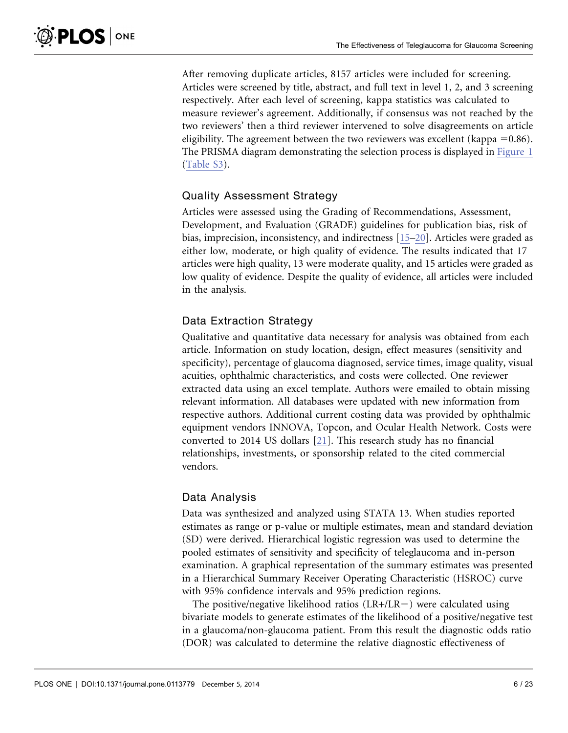After removing duplicate articles, 8157 articles were included for screening. Articles were screened by title, abstract, and full text in level 1, 2, and 3 screening respectively. After each level of screening, kappa statistics was calculated to measure reviewer's agreement. Additionally, if consensus was not reached by the two reviewers' then a third reviewer intervened to solve disagreements on article eligibility. The agreement between the two reviewers was excellent (kappa  $= 0.86$ ). The PRISMA diagram demonstrating the selection process is displayed in [Figure 1](#page-8-0) ([Table S3\)](#page-21-0).

### Quality Assessment Strategy

Articles were assessed using the Grading of Recommendations, Assessment, Development, and Evaluation (GRADE) guidelines for publication bias, risk of bias, imprecision, inconsistency, and indirectness [\[15–20\]](#page-22-0). Articles were graded as either low, moderate, or high quality of evidence. The results indicated that 17 articles were high quality, 13 were moderate quality, and 15 articles were graded as low quality of evidence. Despite the quality of evidence, all articles were included in the analysis.

## Data Extraction Strategy

Qualitative and quantitative data necessary for analysis was obtained from each article. Information on study location, design, effect measures (sensitivity and specificity), percentage of glaucoma diagnosed, service times, image quality, visual acuities, ophthalmic characteristics, and costs were collected. One reviewer extracted data using an excel template. Authors were emailed to obtain missing relevant information. All databases were updated with new information from respective authors. Additional current costing data was provided by ophthalmic equipment vendors INNOVA, Topcon, and Ocular Health Network. Costs were converted to 2014 US dollars [\[21\]](#page-22-0). This research study has no financial relationships, investments, or sponsorship related to the cited commercial vendors.

## Data Analysis

Data was synthesized and analyzed using STATA 13. When studies reported estimates as range or p-value or multiple estimates, mean and standard deviation (SD) were derived. Hierarchical logistic regression was used to determine the pooled estimates of sensitivity and specificity of teleglaucoma and in-person examination. A graphical representation of the summary estimates was presented in a Hierarchical Summary Receiver Operating Characteristic (HSROC) curve with 95% confidence intervals and 95% prediction regions.

The positive/negative likelihood ratios  $(LR+/LR-)$  were calculated using bivariate models to generate estimates of the likelihood of a positive/negative test in a glaucoma/non-glaucoma patient. From this result the diagnostic odds ratio (DOR) was calculated to determine the relative diagnostic effectiveness of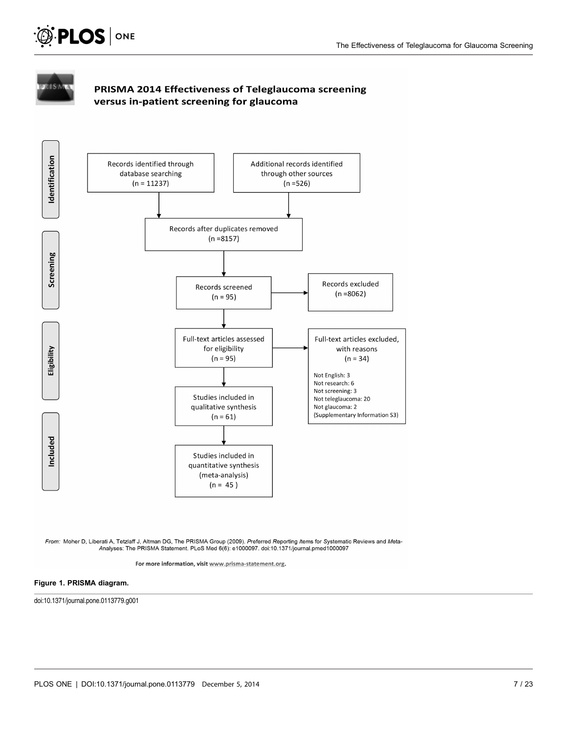<span id="page-8-0"></span>



## PRISMA 2014 Effectiveness of Teleglaucoma screening versus in-patient screening for glaucoma



*From:* Moher D, Liberati A, Tetzlaff J, Altman DG, The PRISMA Group (2009). *P*referred Reporting *I*tems for Systematic Reviews and Meta-<br>Analyses: The PRISMA Statement. PLoS Med 6(6): e1000097. doi:10.1371/journal.pmed

For more information, visit www.prisma-statement.org.

#### Figure 1. PRISMA diagram.

doi:10.1371/journal.pone.0113779.g001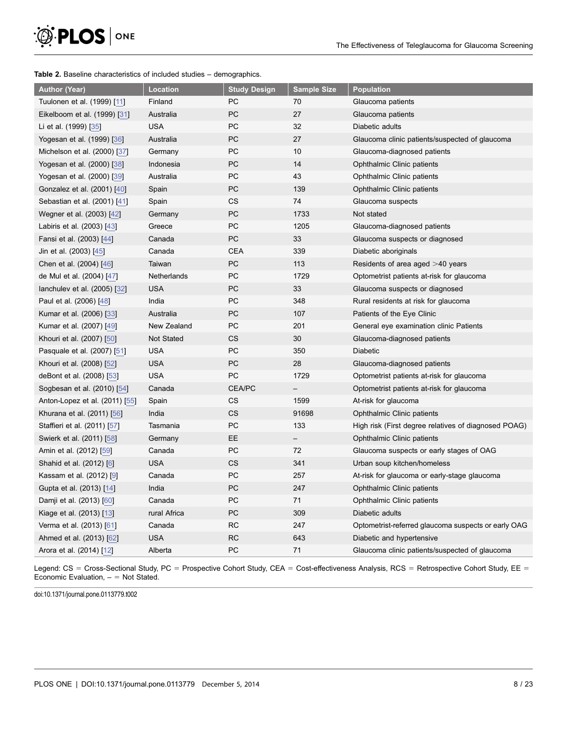<span id="page-9-0"></span>

#### Table 2. Baseline characteristics of included studies – demographics.

| <b>Author (Year)</b>           | <b>Location</b>   | <b>Study Design</b> | <b>Sample Size</b>       | <b>Population</b>                                    |
|--------------------------------|-------------------|---------------------|--------------------------|------------------------------------------------------|
| Tuulonen et al. (1999) [11]    | Finland           | PC                  | 70                       | Glaucoma patients                                    |
| Eikelboom et al. (1999) [31]   | Australia         | PC                  | 27                       | Glaucoma patients                                    |
| Li et al. (1999) [35]          | <b>USA</b>        | PC                  | 32                       | Diabetic adults                                      |
| Yogesan et al. (1999) [36]     | Australia         | PC                  | 27                       | Glaucoma clinic patients/suspected of glaucoma       |
| Michelson et al. (2000) [37]   | Germany           | PC                  | 10                       | Glaucoma-diagnosed patients                          |
| Yogesan et al. (2000) [38]     | Indonesia         | PC                  | 14                       | Ophthalmic Clinic patients                           |
| Yogesan et al. (2000) [39]     | Australia         | PC                  | 43                       | Ophthalmic Clinic patients                           |
| Gonzalez et al. (2001) [40]    | Spain             | PC                  | 139                      | Ophthalmic Clinic patients                           |
| Sebastian et al. (2001) [41]   | Spain             | CS                  | 74                       | Glaucoma suspects                                    |
| Wegner et al. (2003) [42]      | Germany           | PC                  | 1733                     | Not stated                                           |
| Labiris et al. (2003) [43]     | Greece            | PC                  | 1205                     | Glaucoma-diagnosed patients                          |
| Fansi et al. (2003) [44]       | Canada            | PC                  | 33                       | Glaucoma suspects or diagnosed                       |
| Jin et al. (2003) [45]         | Canada            | <b>CEA</b>          | 339                      | Diabetic aboriginals                                 |
| Chen et al. (2004) [46]        | Taiwan            | PC                  | 113                      | Residents of area aged $>40$ years                   |
| de Mul et al. (2004) [47]      | Netherlands       | PC                  | 1729                     | Optometrist patients at-risk for glaucoma            |
| lanchulev et al. (2005) [32]   | USA               | PC                  | 33                       | Glaucoma suspects or diagnosed                       |
| Paul et al. (2006) [48]        | India             | PC                  | 348                      | Rural residents at risk for glaucoma                 |
| Kumar et al. (2006) [33]       | Australia         | PC                  | 107                      | Patients of the Eye Clinic                           |
| Kumar et al. (2007) [49]       | New Zealand       | PC                  | 201                      | General eye examination clinic Patients              |
| Khouri et al. (2007) [50]      | <b>Not Stated</b> | CS                  | 30                       | Glaucoma-diagnosed patients                          |
| Pasquale et al. (2007) [51]    | <b>USA</b>        | PC                  | 350                      | <b>Diabetic</b>                                      |
| Khouri et al. (2008) [52]      | <b>USA</b>        | PC                  | 28                       | Glaucoma-diagnosed patients                          |
| deBont et al. (2008) [53]      | <b>USA</b>        | PC                  | 1729                     | Optometrist patients at-risk for glaucoma            |
| Sogbesan et al. (2010) [54]    | Canada            | <b>CEA/PC</b>       | $\overline{\phantom{0}}$ | Optometrist patients at-risk for glaucoma            |
| Anton-Lopez et al. (2011) [55] | Spain             | CS                  | 1599                     | At-risk for glaucoma                                 |
| Khurana et al. (2011) [56]     | India             | CS                  | 91698                    | Ophthalmic Clinic patients                           |
| Staffieri et al. (2011) [57]   | Tasmania          | PC                  | 133                      | High risk (First degree relatives of diagnosed POAG) |
| Swierk et al. (2011) [58]      | Germany           | EE.                 | $\overline{\phantom{0}}$ | Ophthalmic Clinic patients                           |
| Amin et al. (2012) [59]        | Canada            | PC                  | 72                       | Glaucoma suspects or early stages of OAG             |
| Shahid et al. (2012) [6]       | <b>USA</b>        | CS                  | 341                      | Urban soup kitchen/homeless                          |
| Kassam et al. (2012) [9]       | Canada            | PC                  | 257                      | At-risk for glaucoma or early-stage glaucoma         |
| Gupta et al. (2013) [14]       | India             | PC                  | 247                      | Ophthalmic Clinic patients                           |
| Damji et al. (2013) [60]       | Canada            | PC                  | 71                       | Ophthalmic Clinic patients                           |
| Kiage et al. (2013) [13]       | rural Africa      | PC                  | 309                      | Diabetic adults                                      |
| Verma et al. (2013) [61]       | Canada            | <b>RC</b>           | 247                      | Optometrist-referred glaucoma suspects or early OAG  |
| Ahmed et al. (2013) [62]       | USA               | <b>RC</b>           | 643                      | Diabetic and hypertensive                            |
| Arora et al. (2014) [12]       | Alberta           | PC                  | 71                       | Glaucoma clinic patients/suspected of glaucoma       |

Legend: CS = Cross-Sectional Study, PC = Prospective Cohort Study, CEA = Cost-effectiveness Analysis, RCS = Retrospective Cohort Study, EE = Economic Evaluation,  $=$  Not Stated.

doi:10.1371/journal.pone.0113779.t002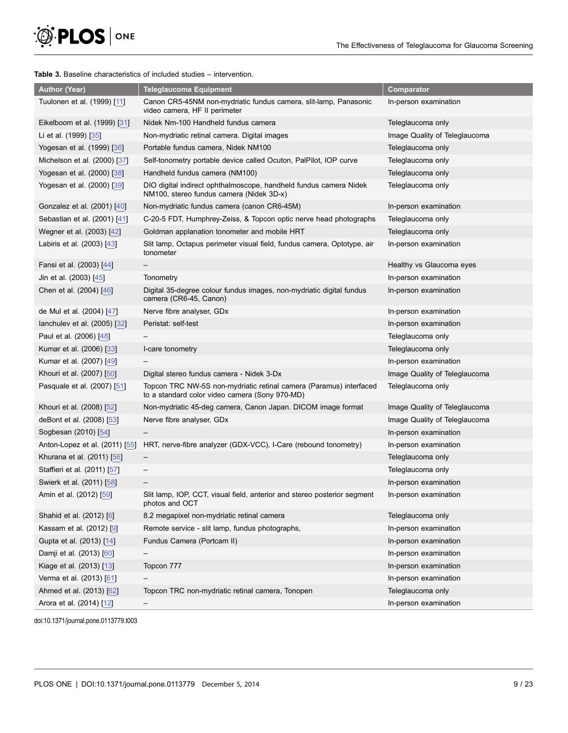<span id="page-10-0"></span>

#### Table 3. Baseline characteristics of included studies – intervention.

| <b>Author (Year)</b>             | <b>Teleglaucoma Equipment</b>                                                                                        | <b>Comparator</b>             |
|----------------------------------|----------------------------------------------------------------------------------------------------------------------|-------------------------------|
| Tuulonen et al. (1999) [11]      | Canon CR5-45NM non-mydriatic fundus camera, slit-lamp, Panasonic<br>video camera, HF II perimeter                    | In-person examination         |
| Eikelboom et al. (1999) [31]     | Nidek Nm-100 Handheld fundus camera                                                                                  | Teleglaucoma only             |
| Li et al. (1999) [35]            | Non-mydriatic retinal camera. Digital images                                                                         | Image Quality of Teleglaucoma |
| Yogesan et al. (1999) [36]       | Portable fundus camera, Nidek NM100                                                                                  | Teleglaucoma only             |
| Michelson et al. (2000) [37]     | Self-tonometry portable device called Ocuton, PalPilot, IOP curve                                                    | Teleglaucoma only             |
| Yogesan et al. (2000) [38]       | Handheld fundus camera (NM100)                                                                                       | Teleglaucoma only             |
| Yogesan et al. (2000) [39]       | DIO digital indirect ophthalmoscope, handheld fundus camera Nidek<br>NM100, stereo fundus camera (Nidek 3D-x)        | Teleglaucoma only             |
| Gonzalez et al. (2001) [40]      | Non-mydriatic fundus camera (canon CR6-45M)                                                                          | In-person examination         |
| Sebastian et al. (2001) [41]     | C-20-5 FDT, Humphrey-Zeiss, & Topcon optic nerve head photographs                                                    | Teleglaucoma only             |
| Wegner et al. (2003) [42]        | Goldman applanation tonometer and mobile HRT                                                                         | Teleglaucoma only             |
| Labiris et al. (2003) [43]       | Slit lamp, Octapus perimeter visual field, fundus camera, Optotype, air<br>tonometer                                 | In-person examination         |
| Fansi et al. (2003) [44]         |                                                                                                                      | Healthy vs Glaucoma eyes      |
| Jin et al. (2003) [45]           | Tonometry                                                                                                            | In-person examination         |
| Chen et al. (2004) [46]          | Digital 35-degree colour fundus images, non-mydriatic digital fundus<br>camera (CR6-45, Canon)                       | In-person examination         |
| de Mul et al. (2004) [47]        | Nerve fibre analyser, GDx                                                                                            | In-person examination         |
| lanchulev et al. $(2005)$ $[32]$ | Peristat: self-test                                                                                                  | In-person examination         |
| Paul et al. (2006) [48]          |                                                                                                                      | Teleglaucoma only             |
| Kumar et al. (2006) [33]         | I-care tonometry                                                                                                     | Teleglaucoma only             |
| Kumar et al. (2007) [49]         |                                                                                                                      | In-person examination         |
| Khouri et al. (2007) [50]        | Digital stereo fundus camera - Nidek 3-Dx                                                                            | Image Quality of Teleglaucoma |
| Pasquale et al. (2007) [51]      | Topcon TRC NW-5S non-mydriatic retinal camera (Paramus) interfaced<br>to a standard color video camera (Sony 970-MD) | Teleglaucoma only             |
| Khouri et al. (2008) [52]        | Non-mydriatic 45-deg camera, Canon Japan. DICOM image format                                                         | Image Quality of Teleglaucoma |
| deBont et al. (2008) [53]        | Nerve fibre analyser, GDx                                                                                            | Image Quality of Teleglaucoma |
| Sogbesan (2010) [54]             |                                                                                                                      | In-person examination         |
| Anton-Lopez et al. (2011) [55]   | HRT, nerve-fibre analyzer (GDX-VCC), I-Care (rebound tonometry)                                                      | In-person examination         |
| Khurana et al. (2011) [56]       |                                                                                                                      | Teleglaucoma only             |
| Staffieri et al. (2011) [57]     |                                                                                                                      | Teleglaucoma only             |
| Swierk et al. (2011) [58]        |                                                                                                                      | In-person examination         |
| Amin et al. (2012) [59]          | Slit lamp, IOP, CCT, visual field, anterior and stereo posterior segment<br>photos and OCT                           | In-person examination         |
| Shahid et al. (2012) [6]         | 8.2 megapixel non-mydriatic retinal camera                                                                           | Teleglaucoma only             |
| Kassam et al. (2012) [9]         | Remote service - slit lamp, fundus photographs,                                                                      | In-person examination         |
| Gupta et al. (2013) [14]         | Fundus Camera (Portcam II)                                                                                           | In-person examination         |
| Damji et al. (2013) [60]         |                                                                                                                      | In-person examination         |
| Kiage et al. (2013) [13]         | Topcon 777                                                                                                           | In-person examination         |
| Verma et al. (2013) [61]         |                                                                                                                      | In-person examination         |
| Ahmed et al. (2013) [62]         | Topcon TRC non-mydriatic retinal camera, Tonopen                                                                     | Teleglaucoma only             |
| Arora et al. (2014) [12]         |                                                                                                                      | In-person examination         |

doi:10.1371/journal.pone.0113779.t003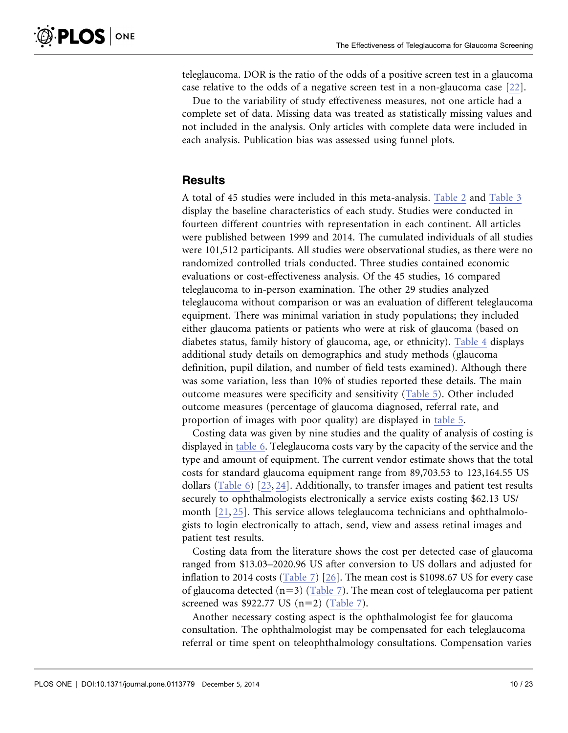teleglaucoma. DOR is the ratio of the odds of a positive screen test in a glaucoma case relative to the odds of a negative screen test in a non-glaucoma case [\[22\].](#page-22-0)

Due to the variability of study effectiveness measures, not one article had a complete set of data. Missing data was treated as statistically missing values and not included in the analysis. Only articles with complete data were included in each analysis. Publication bias was assessed using funnel plots.

## **Results**

A total of 45 studies were included in this meta-analysis. [Table 2](#page-9-0) and [Table 3](#page-10-0) display the baseline characteristics of each study. Studies were conducted in fourteen different countries with representation in each continent. All articles were published between 1999 and 2014. The cumulated individuals of all studies were 101,512 participants. All studies were observational studies, as there were no randomized controlled trials conducted. Three studies contained economic evaluations or cost-effectiveness analysis. Of the 45 studies, 16 compared teleglaucoma to in-person examination. The other 29 studies analyzed teleglaucoma without comparison or was an evaluation of different teleglaucoma equipment. There was minimal variation in study populations; they included either glaucoma patients or patients who were at risk of glaucoma (based on diabetes status, family history of glaucoma, age, or ethnicity). [Table 4](#page-12-0) displays additional study details on demographics and study methods (glaucoma definition, pupil dilation, and number of field tests examined). Although there was some variation, less than 10% of studies reported these details. The main outcome measures were specificity and sensitivity [\(Table 5](#page-13-0)). Other included outcome measures (percentage of glaucoma diagnosed, referral rate, and proportion of images with poor quality) are displayed in [table 5.](#page-13-0)

Costing data was given by nine studies and the quality of analysis of costing is displayed in [table 6.](#page-14-0) Teleglaucoma costs vary by the capacity of the service and the type and amount of equipment. The current vendor estimate shows that the total costs for standard glaucoma equipment range from 89,703.53 to 123,164.55 US dollars [\(Table 6\)](#page-14-0) [\[23,](#page-22-0) [24\].](#page-22-0) Additionally, to transfer images and patient test results securely to ophthalmologists electronically a service exists costing \$62.13 US/ month [\[21,](#page-22-0) [25\].](#page-22-0) This service allows teleglaucoma technicians and ophthalmologists to login electronically to attach, send, view and assess retinal images and patient test results.

Costing data from the literature shows the cost per detected case of glaucoma ranged from \$13.03–2020.96 US after conversion to US dollars and adjusted for inflation to 2014 costs [\(Table 7\)](#page-15-0) [\[26\].](#page-22-0) The mean cost is \$1098.67 US for every case of glaucoma detected  $(n=3)$  [\(Table 7\)](#page-15-0). The mean cost of teleglaucoma per patient screened was \$922.77 US  $(n=2)$  ([Table 7](#page-15-0)).

Another necessary costing aspect is the ophthalmologist fee for glaucoma consultation. The ophthalmologist may be compensated for each teleglaucoma referral or time spent on teleophthalmology consultations. Compensation varies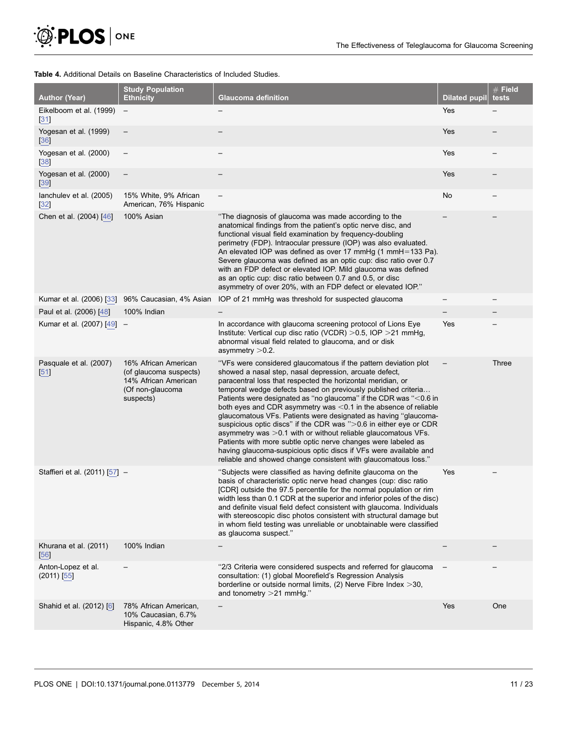<span id="page-12-0"></span>

#### Table 4. Additional Details on Baseline Characteristics of Included Studies.

| <b>Author (Year)</b>                    | <b>Study Population</b><br><b>Ethnicity</b>                                                             | Glaucoma definition                                                                                                                                                                                                                                                                                                                                                                                                                                                                                                                                                                                                                                                                                                                                                                                                 | <b>Dilated pupil</b> | $#$ Field<br>tests |
|-----------------------------------------|---------------------------------------------------------------------------------------------------------|---------------------------------------------------------------------------------------------------------------------------------------------------------------------------------------------------------------------------------------------------------------------------------------------------------------------------------------------------------------------------------------------------------------------------------------------------------------------------------------------------------------------------------------------------------------------------------------------------------------------------------------------------------------------------------------------------------------------------------------------------------------------------------------------------------------------|----------------------|--------------------|
| Eikelboom et al. (1999)<br>[31]         | $\overline{\phantom{m}}$                                                                                |                                                                                                                                                                                                                                                                                                                                                                                                                                                                                                                                                                                                                                                                                                                                                                                                                     | Yes                  |                    |
| Yogesan et al. (1999)<br>$[36]$         |                                                                                                         |                                                                                                                                                                                                                                                                                                                                                                                                                                                                                                                                                                                                                                                                                                                                                                                                                     | Yes                  |                    |
| Yogesan et al. (2000)<br>[38]           |                                                                                                         |                                                                                                                                                                                                                                                                                                                                                                                                                                                                                                                                                                                                                                                                                                                                                                                                                     | Yes                  |                    |
| Yogesan et al. (2000)<br>$[39]$         |                                                                                                         |                                                                                                                                                                                                                                                                                                                                                                                                                                                                                                                                                                                                                                                                                                                                                                                                                     | Yes                  |                    |
| lanchulev et al. (2005)<br>$\boxed{32}$ | 15% White, 9% African<br>American, 76% Hispanic                                                         |                                                                                                                                                                                                                                                                                                                                                                                                                                                                                                                                                                                                                                                                                                                                                                                                                     | No                   |                    |
| Chen et al. (2004) [46]                 | 100% Asian                                                                                              | "The diagnosis of glaucoma was made according to the<br>anatomical findings from the patient's optic nerve disc, and<br>functional visual field examination by frequency-doubling<br>perimetry (FDP). Intraocular pressure (IOP) was also evaluated.<br>An elevated IOP was defined as over 17 mmHg (1 mmH=133 Pa).<br>Severe glaucoma was defined as an optic cup: disc ratio over 0.7<br>with an FDP defect or elevated IOP. Mild glaucoma was defined<br>as an optic cup: disc ratio between 0.7 and 0.5, or disc<br>asymmetry of over 20%, with an FDP defect or elevated IOP."                                                                                                                                                                                                                                 |                      |                    |
| Kumar et al. (2006) [33]                | 96% Caucasian, 4% Asian                                                                                 | IOP of 21 mmHg was threshold for suspected glaucoma                                                                                                                                                                                                                                                                                                                                                                                                                                                                                                                                                                                                                                                                                                                                                                 |                      |                    |
| Paul et al. (2006) [48]                 | 100% Indian                                                                                             |                                                                                                                                                                                                                                                                                                                                                                                                                                                                                                                                                                                                                                                                                                                                                                                                                     |                      |                    |
| Kumar et al. (2007) [49]                |                                                                                                         | In accordance with glaucoma screening protocol of Lions Eye<br>Institute: Vertical cup disc ratio (VCDR) $>0.5$ , IOP $>21$ mmHg,<br>abnormal visual field related to glaucoma, and or disk<br>asymmetry > 0.2.                                                                                                                                                                                                                                                                                                                                                                                                                                                                                                                                                                                                     | Yes                  |                    |
| Pasquale et al. (2007)<br>[51]          | 16% African American<br>(of glaucoma suspects)<br>14% African American<br>(Of non-glaucoma<br>suspects) | "VFs were considered glaucomatous if the pattern deviation plot<br>showed a nasal step, nasal depression, arcuate defect,<br>paracentral loss that respected the horizontal meridian, or<br>temporal wedge defects based on previously published criteria<br>Patients were designated as "no glaucoma" if the CDR was "<0.6 in<br>both eyes and CDR asymmetry was <0.1 in the absence of reliable<br>glaucomatous VFs. Patients were designated as having "glaucoma-<br>suspicious optic discs" if the CDR was ">0.6 in either eye or CDR<br>asymmetry was $>0.1$ with or without reliable glaucomatous VFs.<br>Patients with more subtle optic nerve changes were labeled as<br>having glaucoma-suspicious optic discs if VFs were available and<br>reliable and showed change consistent with glaucomatous loss." |                      | Three              |
| Staffieri et al. (2011) [57] -          |                                                                                                         | "Subjects were classified as having definite glaucoma on the<br>basis of characteristic optic nerve head changes (cup: disc ratio<br>[CDR] outside the 97.5 percentile for the normal population or rim<br>width less than 0.1 CDR at the superior and inferior poles of the disc)<br>and definite visual field defect consistent with glaucoma. Individuals<br>with stereoscopic disc photos consistent with structural damage but<br>in whom field testing was unreliable or unobtainable were classified<br>as glaucoma suspect."                                                                                                                                                                                                                                                                                | Yes                  |                    |
| Khurana et al. (2011)<br>[56]           | 100% Indian                                                                                             |                                                                                                                                                                                                                                                                                                                                                                                                                                                                                                                                                                                                                                                                                                                                                                                                                     |                      |                    |
| Anton-Lopez et al.<br>$(2011)$ [55]     |                                                                                                         | "2/3 Criteria were considered suspects and referred for glaucoma<br>consultation: (1) global Moorefield's Regression Analysis<br>borderline or outside normal limits, $(2)$ Nerve Fibre Index $>$ 30,<br>and tonometry $>21$ mmHg."                                                                                                                                                                                                                                                                                                                                                                                                                                                                                                                                                                                 |                      |                    |
| Shahid et al. (2012) [6]                | 78% African American,<br>10% Caucasian, 6.7%<br>Hispanic, 4.8% Other                                    |                                                                                                                                                                                                                                                                                                                                                                                                                                                                                                                                                                                                                                                                                                                                                                                                                     | Yes                  | One                |
|                                         |                                                                                                         |                                                                                                                                                                                                                                                                                                                                                                                                                                                                                                                                                                                                                                                                                                                                                                                                                     |                      |                    |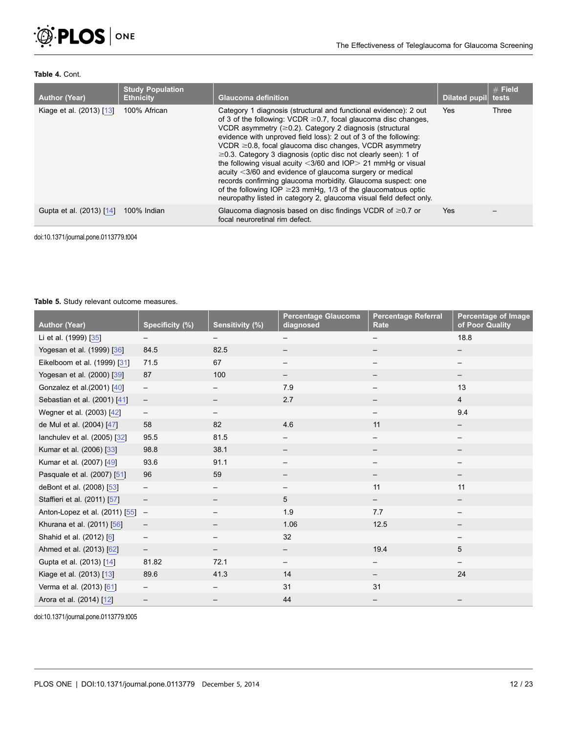<span id="page-13-0"></span>

#### Table 4. Cont.

| <b>Author (Year)</b>     | <b>Study Population</b><br><b>Ethnicity</b> | Glaucoma definition                                                                                                                                                                                                                                                                                                                                                                                                                                                                                                                                                                                                                                                                                                                                                    | <b>Dilated pupil</b> | $#$ Field<br>tests |
|--------------------------|---------------------------------------------|------------------------------------------------------------------------------------------------------------------------------------------------------------------------------------------------------------------------------------------------------------------------------------------------------------------------------------------------------------------------------------------------------------------------------------------------------------------------------------------------------------------------------------------------------------------------------------------------------------------------------------------------------------------------------------------------------------------------------------------------------------------------|----------------------|--------------------|
| Kiage et al. (2013) [13] | 100% African                                | Category 1 diagnosis (structural and functional evidence): 2 out<br>of 3 of the following: VCDR $\geq$ 0.7, focal glaucoma disc changes,<br>VCDR asymmetry $(\geq 0.2)$ . Category 2 diagnosis (structural<br>evidence with unproved field loss): 2 out of 3 of the following:<br>$VCDR \geq 0.8$ , focal glaucoma disc changes, VCDR asymmetry<br>$\geq$ 0.3. Category 3 diagnosis (optic disc not clearly seen): 1 of<br>the following visual acuity $<$ 3/60 and IOP $>$ 21 mmHg or visual<br>acuity <3/60 and evidence of glaucoma surgery or medical<br>records confirming glaucoma morbidity. Glaucoma suspect: one<br>of the following IOP $\geq$ 23 mmHg, 1/3 of the glaucomatous optic<br>neuropathy listed in category 2, glaucoma visual field defect only. | <b>Yes</b>           | Three              |
| Gupta et al. (2013) [14] | 100% Indian                                 | Glaucoma diagnosis based on disc findings VCDR of $\geq 0.7$ or<br>focal neuroretinal rim defect.                                                                                                                                                                                                                                                                                                                                                                                                                                                                                                                                                                                                                                                                      | <b>Yes</b>           |                    |

doi:10.1371/journal.pone.0113779.t004

#### Table 5. Study relevant outcome measures.

| <b>Author (Year)</b>           | Specificity (%)          | Sensitivity (%)   | Percentage Glaucoma<br>diagnosed | <b>Percentage Referral</b><br>Rate | Percentage of Image<br>of Poor Quality |
|--------------------------------|--------------------------|-------------------|----------------------------------|------------------------------------|----------------------------------------|
| Li et al. (1999) [35]          |                          |                   |                                  |                                    | 18.8                                   |
| Yogesan et al. (1999) [36]     | 84.5                     | 82.5              |                                  |                                    |                                        |
| Eikelboom et al. (1999) [31]   | 71.5                     | 67                | $\overline{\phantom{m}}$         |                                    |                                        |
| Yogesan et al. (2000) [39]     | 87                       | 100               | $\overline{\phantom{m}}$         |                                    | $\qquad \qquad -$                      |
| Gonzalez et al.(2001) [40]     | $\qquad \qquad -$        |                   | 7.9                              |                                    | 13                                     |
| Sebastian et al. (2001) [41]   | $\overline{\phantom{a}}$ |                   | 2.7                              |                                    | $\overline{4}$                         |
| Wegner et al. (2003) [42]      | $\overline{\phantom{m}}$ |                   |                                  |                                    | 9.4                                    |
| de Mul et al. (2004) [47]      | 58                       | 82                | 4.6                              | 11                                 |                                        |
| lanchulev et al. (2005) [32]   | 95.5                     | 81.5              | $\overline{\phantom{m}}$         |                                    |                                        |
| Kumar et al. (2006) [33]       | 98.8                     | 38.1              | $\overline{\phantom{m}}$         |                                    |                                        |
| Kumar et al. (2007) [49]       | 93.6                     | 91.1              |                                  |                                    |                                        |
| Pasquale et al. (2007) [51]    | 96                       | 59                |                                  |                                    |                                        |
| deBont et al. (2008) [53]      | $\overline{\phantom{m}}$ |                   |                                  | 11                                 | 11                                     |
| Staffieri et al. (2011) [57]   | $\overline{\phantom{m}}$ |                   | 5                                | —                                  |                                        |
| Anton-Lopez et al. (2011) [55] | $\overline{\phantom{m}}$ |                   | 1.9                              | 7.7                                |                                        |
| Khurana et al. (2011) [56]     | $\qquad \qquad -$        | —                 | 1.06                             | 12.5                               |                                        |
| Shahid et al. (2012) [6]       | $\qquad \qquad -$        |                   | 32                               |                                    |                                        |
| Ahmed et al. (2013) [62]       | $\overline{\phantom{m}}$ | $\qquad \qquad -$ | $\qquad \qquad -$                | 19.4                               | 5                                      |
| Gupta et al. (2013) [14]       | 81.82                    | 72.1              | $\overline{\phantom{m}}$         |                                    |                                        |
| Kiage et al. (2013) [13]       | 89.6                     | 41.3              | 14                               |                                    | 24                                     |
| Verma et al. (2013) [61]       | —                        |                   | 31                               | 31                                 |                                        |
| Arora et al. (2014) [12]       | —                        |                   | 44                               |                                    |                                        |

doi:10.1371/journal.pone.0113779.t005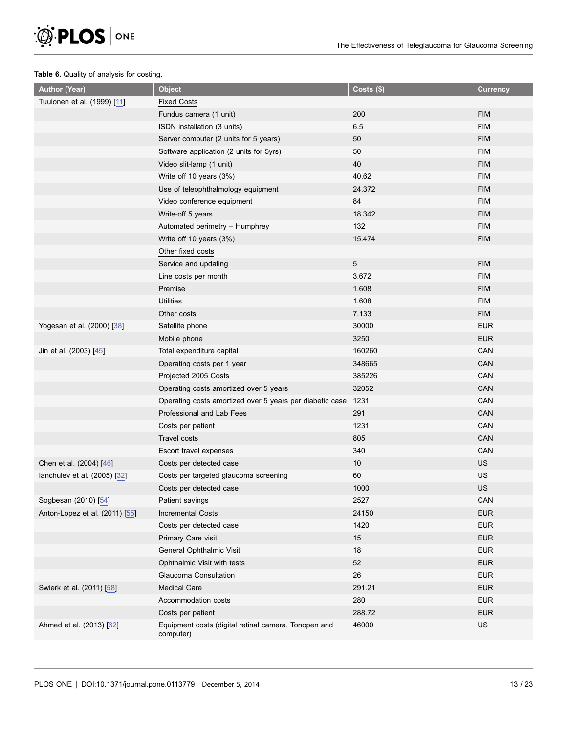<span id="page-14-0"></span>

#### Table 6. Quality of analysis for costing.

| <b>Author (Year)</b>           | <b>Object</b>                                                     | $Costs($ \$) | <b>Currency</b> |
|--------------------------------|-------------------------------------------------------------------|--------------|-----------------|
| Tuulonen et al. (1999) [11]    | <b>Fixed Costs</b>                                                |              |                 |
|                                | Fundus camera (1 unit)                                            | 200          | <b>FIM</b>      |
|                                | ISDN installation (3 units)                                       | 6.5          | <b>FIM</b>      |
|                                | Server computer (2 units for 5 years)                             | 50           | <b>FIM</b>      |
|                                | Software application (2 units for 5yrs)                           | 50           | <b>FIM</b>      |
|                                | Video slit-lamp (1 unit)                                          | 40           | <b>FIM</b>      |
|                                | Write off 10 years (3%)                                           | 40.62        | <b>FIM</b>      |
|                                | Use of teleophthalmology equipment                                | 24.372       | <b>FIM</b>      |
|                                | Video conference equipment                                        | 84           | <b>FIM</b>      |
|                                | Write-off 5 years                                                 | 18.342       | <b>FIM</b>      |
|                                | Automated perimetry - Humphrey                                    | 132          | <b>FIM</b>      |
|                                | Write off 10 years (3%)                                           | 15.474       | <b>FIM</b>      |
|                                | Other fixed costs                                                 |              |                 |
|                                | Service and updating                                              | 5            | <b>FIM</b>      |
|                                | Line costs per month                                              | 3.672        | <b>FIM</b>      |
|                                | Premise                                                           | 1.608        | <b>FIM</b>      |
|                                | <b>Utilities</b>                                                  | 1.608        | <b>FIM</b>      |
|                                | Other costs                                                       | 7.133        | <b>FIM</b>      |
| Yogesan et al. (2000) [38]     | Satellite phone                                                   | 30000        | <b>EUR</b>      |
|                                | Mobile phone                                                      | 3250         | <b>EUR</b>      |
| Jin et al. (2003) [45]         | Total expenditure capital                                         | 160260       | CAN             |
|                                | Operating costs per 1 year                                        | 348665       | CAN             |
|                                | Projected 2005 Costs                                              | 385226       | CAN             |
|                                | Operating costs amortized over 5 years                            | 32052        | CAN             |
|                                | Operating costs amortized over 5 years per diabetic case          | 1231         | CAN             |
|                                | Professional and Lab Fees                                         | 291          | CAN             |
|                                | Costs per patient                                                 | 1231         | CAN             |
|                                | Travel costs                                                      | 805          | CAN             |
|                                | Escort travel expenses                                            | 340          | CAN             |
| Chen et al. (2004) [46]        | Costs per detected case                                           | $10$         | US              |
| lanchulev et al. (2005) [32]   | Costs per targeted glaucoma screening                             | 60           | US              |
|                                | Costs per detected case                                           | 1000         | US              |
| Sogbesan (2010) [54]           | Patient savings                                                   | 2527         | CAN             |
| Anton-Lopez et al. (2011) [55] | <b>Incremental Costs</b>                                          | 24150        | <b>EUR</b>      |
|                                | Costs per detected case                                           | 1420         | <b>EUR</b>      |
|                                | Primary Care visit                                                | 15           | <b>EUR</b>      |
|                                | General Ophthalmic Visit                                          | 18           | <b>EUR</b>      |
|                                | Ophthalmic Visit with tests                                       | 52           | <b>EUR</b>      |
|                                | Glaucoma Consultation                                             | 26           | <b>EUR</b>      |
| Swierk et al. (2011) [58]      | <b>Medical Care</b>                                               | 291.21       | <b>EUR</b>      |
|                                | Accommodation costs                                               | 280          | <b>EUR</b>      |
|                                | Costs per patient                                                 | 288.72       | <b>EUR</b>      |
| Ahmed et al. (2013) [62]       | Equipment costs (digital retinal camera, Tonopen and<br>computer) | 46000        | US              |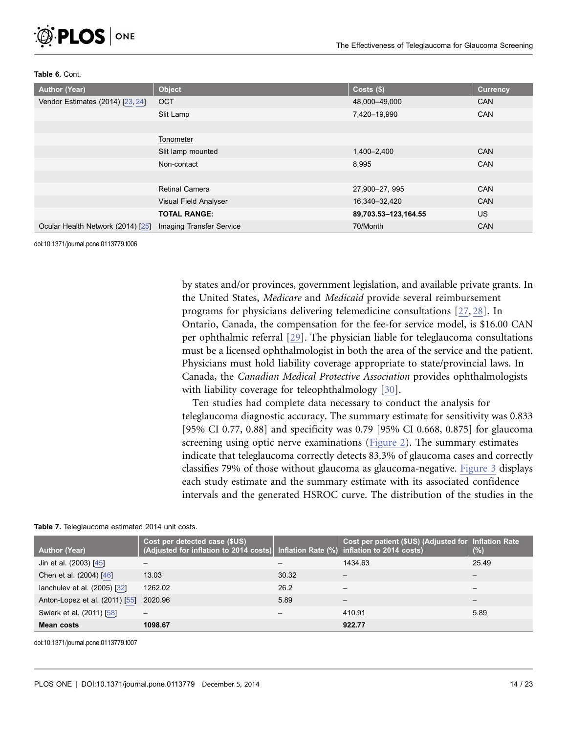<span id="page-15-0"></span>

#### Table 6. Cont.

| <b>Author (Year)</b>              | <b>Object</b>                   | Costs(\$)            | <b>Currency</b> |
|-----------------------------------|---------------------------------|----------------------|-----------------|
| Vendor Estimates (2014) [23, 24]  | <b>OCT</b>                      | 48,000-49,000        | <b>CAN</b>      |
|                                   | Slit Lamp                       | 7,420-19,990         | <b>CAN</b>      |
|                                   |                                 |                      |                 |
|                                   | Tonometer                       |                      |                 |
|                                   | Slit lamp mounted               | 1,400-2,400          | <b>CAN</b>      |
|                                   | Non-contact                     | 8,995                | <b>CAN</b>      |
|                                   |                                 |                      |                 |
|                                   | <b>Retinal Camera</b>           | 27,900-27, 995       | <b>CAN</b>      |
|                                   | Visual Field Analyser           | 16,340-32,420        | <b>CAN</b>      |
|                                   | <b>TOTAL RANGE:</b>             | 89,703.53-123,164.55 | <b>US</b>       |
| Ocular Health Network (2014) [25] | <b>Imaging Transfer Service</b> | 70/Month             | <b>CAN</b>      |

doi:10.1371/journal.pone.0113779.t006

by states and/or provinces, government legislation, and available private grants. In the United States, Medicare and Medicaid provide several reimbursement programs for physicians delivering telemedicine consultations [\[27,](#page-22-0) [28\]](#page-22-0). In Ontario, Canada, the compensation for the fee-for service model, is \$16.00 CAN per ophthalmic referral [\[29\]](#page-23-0). The physician liable for teleglaucoma consultations must be a licensed ophthalmologist in both the area of the service and the patient. Physicians must hold liability coverage appropriate to state/provincial laws. In Canada, the Canadian Medical Protective Association provides ophthalmologists with liability coverage for teleophthalmology [\[30\]](#page-23-0).

Ten studies had complete data necessary to conduct the analysis for teleglaucoma diagnostic accuracy. The summary estimate for sensitivity was 0.833 [95% CI 0.77, 0.88] and specificity was 0.79 [95% CI 0.668, 0.875] for glaucoma screening using optic nerve examinations [\(Figure 2](#page-16-0)). The summary estimates indicate that teleglaucoma correctly detects 83.3% of glaucoma cases and correctly classifies 79% of those without glaucoma as glaucoma-negative. [Figure 3](#page-17-0) displays each study estimate and the summary estimate with its associated confidence intervals and the generated HSROC curve. The distribution of the studies in the

| <b>Author (Year)</b>           | Cost per detected case (\$US)<br>(Adjusted for inflation to 2014 costs) Inflation Rate (%) inflation to 2014 costs) |       | Cost per patient (\$US) (Adjusted for Inflation Rate | (%)   |
|--------------------------------|---------------------------------------------------------------------------------------------------------------------|-------|------------------------------------------------------|-------|
| Jin et al. (2003) [45]         |                                                                                                                     |       | 1434.63                                              | 25.49 |
| Chen et al. (2004) [46]        | 13.03                                                                                                               | 30.32 |                                                      |       |
| lanchulev et al. (2005) [32]   | 1262.02                                                                                                             | 26.2  |                                                      |       |
| Anton-Lopez et al. (2011) [55] | 2020.96                                                                                                             | 5.89  |                                                      |       |
| Swierk et al. (2011) [58]      |                                                                                                                     |       | 410.91                                               | 5.89  |
| Mean costs                     | 1098.67                                                                                                             |       | 922.77                                               |       |

Table 7. Teleglaucoma estimated 2014 unit costs.

doi:10.1371/journal.pone.0113779.t007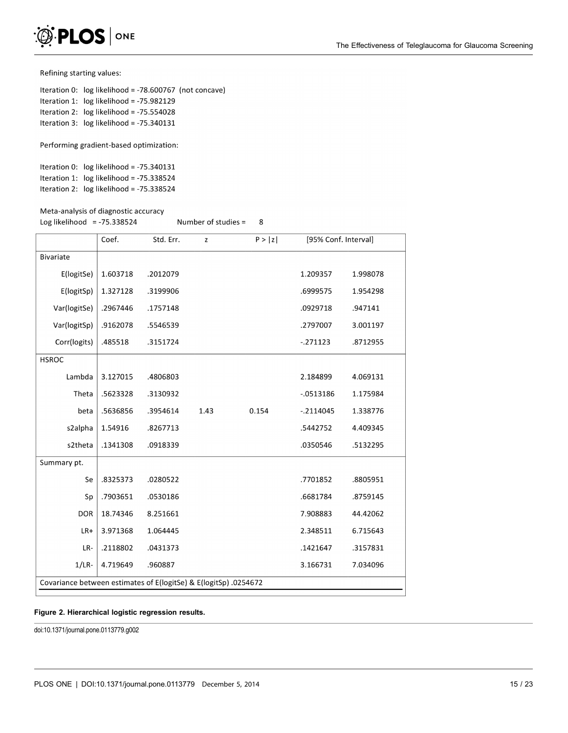<span id="page-16-0"></span>

Refining starting values:

Iteration 0: log likelihood = -78.600767 (not concave) Iteration 1: log likelihood = -75.982129 Iteration 2: log likelihood = -75.554028 Iteration 3: log likelihood = -75.340131

Performing gradient-based optimization:

```
Iteration 0: log likelihood = -75.340131
Iteration 1: log likelihood = -75.338524
Iteration 2: log likelihood = -75.338524
```
#### Meta-analysis of diagnostic accuracy

Log likelihood = -75.338524 Number of studies =

|                                                                  | Coef.    | Std. Err. | Z    | P >  z | [95% Conf. Interval] |          |
|------------------------------------------------------------------|----------|-----------|------|--------|----------------------|----------|
| <b>Bivariate</b>                                                 |          |           |      |        |                      |          |
| E(logitSe)                                                       | 1.603718 | .2012079  |      |        | 1.209357             | 1.998078 |
| E(logitSp)                                                       | 1.327128 | .3199906  |      |        | .6999575             | 1.954298 |
| Var(logitSe)                                                     | .2967446 | .1757148  |      |        | .0929718             | .947141  |
| Var(logitSp)                                                     | .9162078 | .5546539  |      |        | .2797007             | 3.001197 |
| Corr(logits)                                                     | .485518  | .3151724  |      |        | $-.271123$           | .8712955 |
| <b>HSROC</b>                                                     |          |           |      |        |                      |          |
| Lambda                                                           | 3.127015 | .4806803  |      |        | 2.184899             | 4.069131 |
| Theta                                                            | .5623328 | .3130932  |      |        | $-.0513186$          | 1.175984 |
| beta                                                             | .5636856 | .3954614  | 1.43 | 0.154  | $-.2114045$          | 1.338776 |
| s2alpha                                                          | 1.54916  | .8267713  |      |        | .5442752             | 4.409345 |
| s2theta                                                          | .1341308 | .0918339  |      |        | .0350546             | .5132295 |
| Summary pt.                                                      |          |           |      |        |                      |          |
| Se                                                               | .8325373 | .0280522  |      |        | .7701852             | .8805951 |
| Sp                                                               | .7903651 | .0530186  |      |        | .6681784             | .8759145 |
| <b>DOR</b>                                                       | 18.74346 | 8.251661  |      |        | 7.908883             | 44.42062 |
| LR+                                                              | 3.971368 | 1.064445  |      |        | 2.348511             | 6.715643 |
| LR-                                                              | .2118802 | .0431373  |      |        | .1421647             | .3157831 |
| $1/LR$ -                                                         | 4.719649 | .960887   |      |        | 3.166731             | 7.034096 |
| Covariance between estimates of E(logitSe) & E(logitSp) .0254672 |          |           |      |        |                      |          |

 $\,8\,$ 

#### Figure 2. Hierarchical logistic regression results.

doi:10.1371/journal.pone.0113779.g002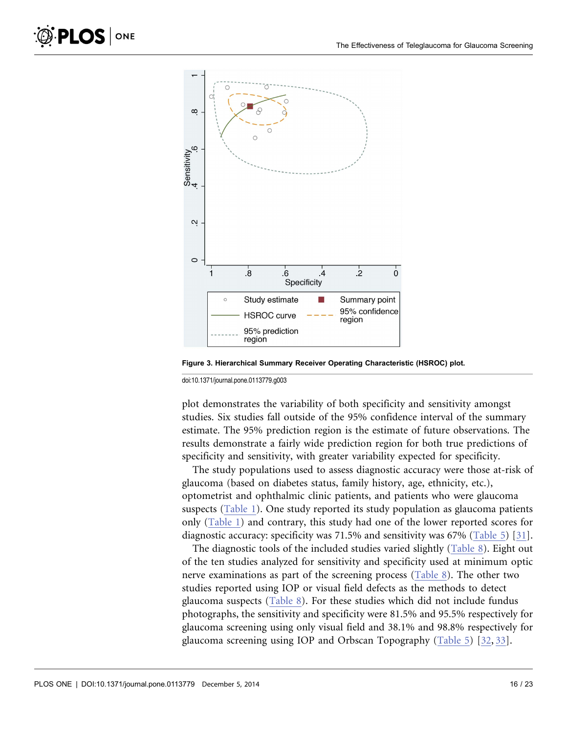<span id="page-17-0"></span>

Figure 3. Hierarchical Summary Receiver Operating Characteristic (HSROC) plot.

doi:10.1371/journal.pone.0113779.g003

plot demonstrates the variability of both specificity and sensitivity amongst studies. Six studies fall outside of the 95% confidence interval of the summary estimate. The 95% prediction region is the estimate of future observations. The results demonstrate a fairly wide prediction region for both true predictions of specificity and sensitivity, with greater variability expected for specificity.

The study populations used to assess diagnostic accuracy were those at-risk of glaucoma (based on diabetes status, family history, age, ethnicity, etc.), optometrist and ophthalmic clinic patients, and patients who were glaucoma suspects ([Table 1](#page-5-0)). One study reported its study population as glaucoma patients only ([Table 1](#page-5-0)) and contrary, this study had one of the lower reported scores for diagnostic accuracy: specificity was 71.5% and sensitivity was 67% [\(Table 5](#page-13-0)) [\[31\]](#page-23-0).

The diagnostic tools of the included studies varied slightly [\(Table 8](#page-18-0)). Eight out of the ten studies analyzed for sensitivity and specificity used at minimum optic nerve examinations as part of the screening process [\(Table 8\)](#page-18-0). The other two studies reported using IOP or visual field defects as the methods to detect glaucoma suspects [\(Table 8](#page-18-0)). For these studies which did not include fundus photographs, the sensitivity and specificity were 81.5% and 95.5% respectively for glaucoma screening using only visual field and 38.1% and 98.8% respectively for glaucoma screening using IOP and Orbscan Topography ([Table 5](#page-13-0)) [\[32,](#page-23-0) [33\].](#page-23-0)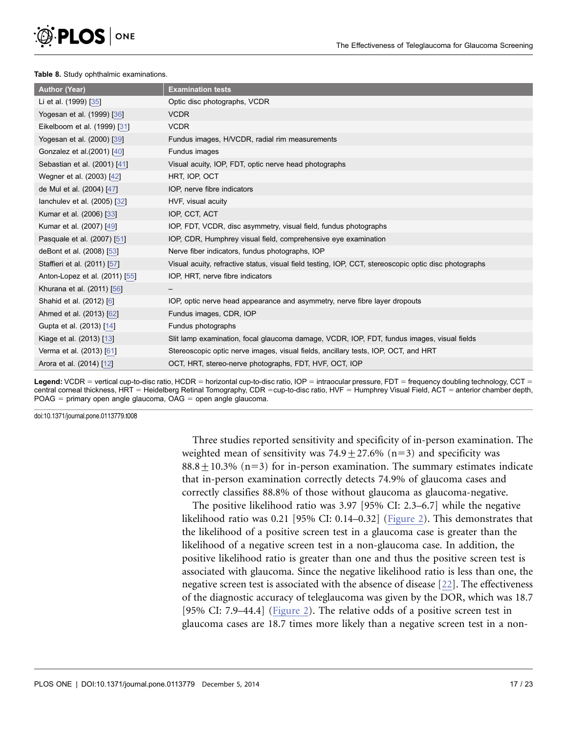<span id="page-18-0"></span>

#### Table 8. Study ophthalmic examinations.

| <b>Author (Year)</b>           | <b>Examination tests</b>                                                                              |
|--------------------------------|-------------------------------------------------------------------------------------------------------|
| Li et al. (1999) [35]          | Optic disc photographs, VCDR                                                                          |
| Yogesan et al. (1999) [36]     | <b>VCDR</b>                                                                                           |
| Eikelboom et al. (1999) [31]   | <b>VCDR</b>                                                                                           |
| Yogesan et al. (2000) [39]     | Fundus images, H/VCDR, radial rim measurements                                                        |
| Gonzalez et al.(2001) [40]     | Fundus images                                                                                         |
| Sebastian et al. (2001) [41]   | Visual acuity, IOP, FDT, optic nerve head photographs                                                 |
| Wegner et al. (2003) [42]      | HRT, IOP, OCT                                                                                         |
| de Mul et al. (2004) [47]      | IOP, nerve fibre indicators                                                                           |
| lanchulev et al. (2005) [32]   | HVF, visual acuity                                                                                    |
| Kumar et al. (2006) [33]       | IOP, CCT, ACT                                                                                         |
| Kumar et al. (2007) [49]       | IOP, FDT, VCDR, disc asymmetry, visual field, fundus photographs                                      |
| Pasquale et al. (2007) [51]    | IOP, CDR, Humphrey visual field, comprehensive eye examination                                        |
| deBont et al. (2008) [53]      | Nerve fiber indicators, fundus photographs, IOP                                                       |
| Staffieri et al. (2011) [57]   | Visual acuity, refractive status, visual field testing, IOP, CCT, stereoscopic optic disc photographs |
| Anton-Lopez et al. (2011) [55] | IOP, HRT, nerve fibre indicators                                                                      |
| Khurana et al. (2011) [56]     |                                                                                                       |
| Shahid et al. (2012) [6]       | IOP, optic nerve head appearance and asymmetry, nerve fibre layer dropouts                            |
| Ahmed et al. (2013) [62]       | Fundus images, CDR, IOP                                                                               |
| Gupta et al. (2013) [14]       | Fundus photographs                                                                                    |
| Kiage et al. (2013) [13]       | Slit lamp examination, focal glaucoma damage, VCDR, IOP, FDT, fundus images, visual fields            |
| Verma et al. (2013) [61]       | Stereoscopic optic nerve images, visual fields, ancillary tests, IOP, OCT, and HRT                    |
| Arora et al. (2014) [12]       | OCT, HRT, stereo-nerve photographs, FDT, HVF, OCT, IOP                                                |

Legend: VCDR = vertical cup-to-disc ratio, HCDR = horizontal cup-to-disc ratio, IOP = intraocular pressure, FDT = frequency doubling technology, CCT = central corneal thickness, HRT = Heidelberg Retinal Tomography, CDR =cup-to-disc ratio, HVF = Humphrey Visual Field, ACT = anterior chamber depth,  $POAG = primary$  open angle glaucoma,  $OAG =$  open angle glaucoma.

doi:10.1371/journal.pone.0113779.t008

Three studies reported sensitivity and specificity of in-person examination. The weighted mean of sensitivity was  $74.9 \pm 27.6\%$  (n=3) and specificity was  $88.8 + 10.3\%$  (n=3) for in-person examination. The summary estimates indicate that in-person examination correctly detects 74.9% of glaucoma cases and correctly classifies 88.8% of those without glaucoma as glaucoma-negative.

The positive likelihood ratio was 3.97 [95% CI: 2.3–6.7] while the negative likelihood ratio was 0.21 [95% CI: 0.14–0.32] ([Figure 2\)](#page-16-0). This demonstrates that the likelihood of a positive screen test in a glaucoma case is greater than the likelihood of a negative screen test in a non-glaucoma case. In addition, the positive likelihood ratio is greater than one and thus the positive screen test is associated with glaucoma. Since the negative likelihood ratio is less than one, the negative screen test is associated with the absence of disease [\[22\].](#page-22-0) The effectiveness of the diagnostic accuracy of teleglaucoma was given by the DOR, which was 18.7 [95% CI: 7.9–44.4] [\(Figure 2\)](#page-16-0). The relative odds of a positive screen test in glaucoma cases are 18.7 times more likely than a negative screen test in a non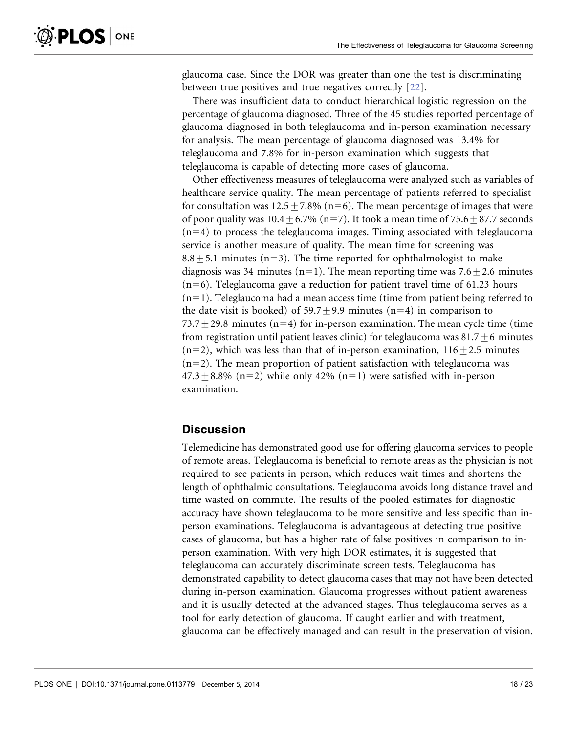glaucoma case. Since the DOR was greater than one the test is discriminating between true positives and true negatives correctly [\[22\]](#page-22-0).

There was insufficient data to conduct hierarchical logistic regression on the percentage of glaucoma diagnosed. Three of the 45 studies reported percentage of glaucoma diagnosed in both teleglaucoma and in-person examination necessary for analysis. The mean percentage of glaucoma diagnosed was 13.4% for teleglaucoma and 7.8% for in-person examination which suggests that teleglaucoma is capable of detecting more cases of glaucoma.

Other effectiveness measures of teleglaucoma were analyzed such as variables of healthcare service quality. The mean percentage of patients referred to specialist for consultation was  $12.5 \pm 7.8\%$  (n=6). The mean percentage of images that were of poor quality was  $10.4 + 6.7\%$  (n=7). It took a mean time of 75.6 + 87.7 seconds  $(n=4)$  to process the teleglaucoma images. Timing associated with teleglaucoma service is another measure of quality. The mean time for screening was  $8.8 + 5.1$  minutes (n=3). The time reported for ophthalmologist to make diagnosis was 34 minutes (n=1). The mean reporting time was 7.6 $\pm$ 2.6 minutes  $(n=6)$ . Teleglaucoma gave a reduction for patient travel time of 61.23 hours  $(n=1)$ . Teleglaucoma had a mean access time (time from patient being referred to the date visit is booked) of  $59.7 \pm 9.9$  minutes (n=4) in comparison to  $73.7 + 29.8$  minutes (n=4) for in-person examination. The mean cycle time (time from registration until patient leaves clinic) for teleglaucoma was  $81.7 \pm 6$  minutes  $(n=2)$ , which was less than that of in-person examination,  $116+2.5$  minutes  $(n=2)$ . The mean proportion of patient satisfaction with teleglaucoma was  $47.3 \pm 8.8\%$  (n=2) while only 42% (n=1) were satisfied with in-person examination.

## **Discussion**

Telemedicine has demonstrated good use for offering glaucoma services to people of remote areas. Teleglaucoma is beneficial to remote areas as the physician is not required to see patients in person, which reduces wait times and shortens the length of ophthalmic consultations. Teleglaucoma avoids long distance travel and time wasted on commute. The results of the pooled estimates for diagnostic accuracy have shown teleglaucoma to be more sensitive and less specific than inperson examinations. Teleglaucoma is advantageous at detecting true positive cases of glaucoma, but has a higher rate of false positives in comparison to inperson examination. With very high DOR estimates, it is suggested that teleglaucoma can accurately discriminate screen tests. Teleglaucoma has demonstrated capability to detect glaucoma cases that may not have been detected during in-person examination. Glaucoma progresses without patient awareness and it is usually detected at the advanced stages. Thus teleglaucoma serves as a tool for early detection of glaucoma. If caught earlier and with treatment, glaucoma can be effectively managed and can result in the preservation of vision.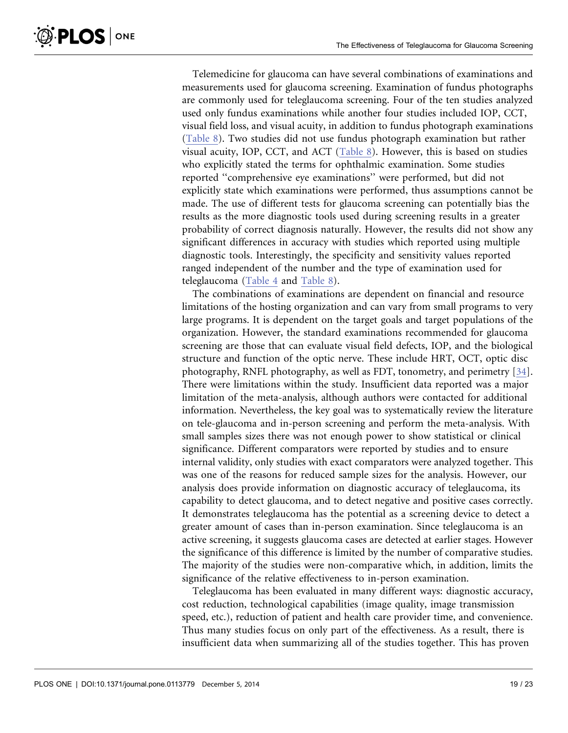Telemedicine for glaucoma can have several combinations of examinations and measurements used for glaucoma screening. Examination of fundus photographs are commonly used for teleglaucoma screening. Four of the ten studies analyzed used only fundus examinations while another four studies included IOP, CCT, visual field loss, and visual acuity, in addition to fundus photograph examinations ([Table 8](#page-18-0)). Two studies did not use fundus photograph examination but rather visual acuity, IOP, CCT, and ACT [\(Table 8\)](#page-18-0). However, this is based on studies who explicitly stated the terms for ophthalmic examination. Some studies reported ''comprehensive eye examinations'' were performed, but did not explicitly state which examinations were performed, thus assumptions cannot be made. The use of different tests for glaucoma screening can potentially bias the results as the more diagnostic tools used during screening results in a greater probability of correct diagnosis naturally. However, the results did not show any significant differences in accuracy with studies which reported using multiple diagnostic tools. Interestingly, the specificity and sensitivity values reported ranged independent of the number and the type of examination used for teleglaucoma ([Table 4](#page-12-0) and [Table 8](#page-18-0)).

The combinations of examinations are dependent on financial and resource limitations of the hosting organization and can vary from small programs to very large programs. It is dependent on the target goals and target populations of the organization. However, the standard examinations recommended for glaucoma screening are those that can evaluate visual field defects, IOP, and the biological structure and function of the optic nerve. These include HRT, OCT, optic disc photography, RNFL photography, as well as FDT, tonometry, and perimetry [\[34\]](#page-23-0). There were limitations within the study. Insufficient data reported was a major limitation of the meta-analysis, although authors were contacted for additional information. Nevertheless, the key goal was to systematically review the literature on tele-glaucoma and in-person screening and perform the meta-analysis. With small samples sizes there was not enough power to show statistical or clinical significance. Different comparators were reported by studies and to ensure internal validity, only studies with exact comparators were analyzed together. This was one of the reasons for reduced sample sizes for the analysis. However, our analysis does provide information on diagnostic accuracy of teleglaucoma, its capability to detect glaucoma, and to detect negative and positive cases correctly. It demonstrates teleglaucoma has the potential as a screening device to detect a greater amount of cases than in-person examination. Since teleglaucoma is an active screening, it suggests glaucoma cases are detected at earlier stages. However the significance of this difference is limited by the number of comparative studies. The majority of the studies were non-comparative which, in addition, limits the significance of the relative effectiveness to in-person examination.

Teleglaucoma has been evaluated in many different ways: diagnostic accuracy, cost reduction, technological capabilities (image quality, image transmission speed, etc.), reduction of patient and health care provider time, and convenience. Thus many studies focus on only part of the effectiveness. As a result, there is insufficient data when summarizing all of the studies together. This has proven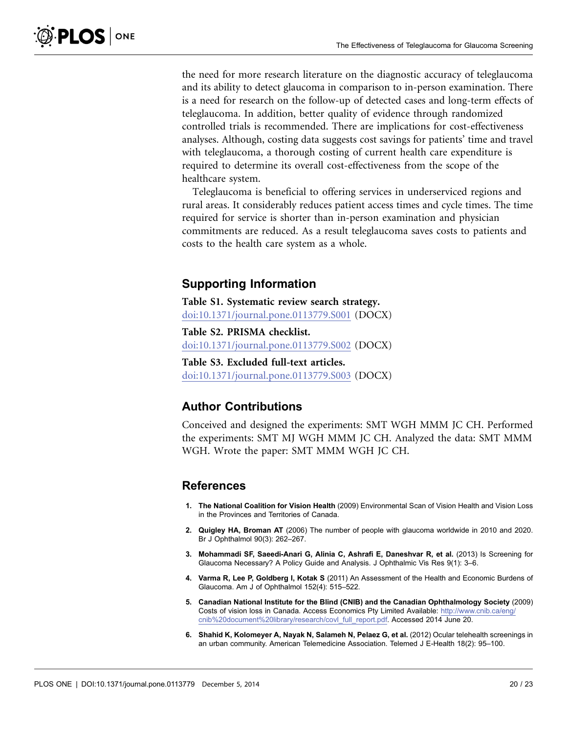<span id="page-21-0"></span>the need for more research literature on the diagnostic accuracy of teleglaucoma and its ability to detect glaucoma in comparison to in-person examination. There is a need for research on the follow-up of detected cases and long-term effects of teleglaucoma. In addition, better quality of evidence through randomized controlled trials is recommended. There are implications for cost-effectiveness analyses. Although, costing data suggests cost savings for patients' time and travel with teleglaucoma, a thorough costing of current health care expenditure is required to determine its overall cost-effectiveness from the scope of the healthcare system.

Teleglaucoma is beneficial to offering services in underserviced regions and rural areas. It considerably reduces patient access times and cycle times. The time required for service is shorter than in-person examination and physician commitments are reduced. As a result teleglaucoma saves costs to patients and costs to the health care system as a whole.

## Supporting Information

Table S1. Systematic review search strategy. [doi:10.1371/journal.pone.0113779.S001](http://www.plosone.org/article/fetchSingleRepresentation.action?uri=info:doi/10.1371/journal.pone.0113779.S001) (DOCX)

Table S2. PRISMA checklist. [doi:10.1371/journal.pone.0113779.S002](http://www.plosone.org/article/fetchSingleRepresentation.action?uri=info:doi/10.1371/journal.pone.0113779.S002) (DOCX)

Table S3. Excluded full-text articles. [doi:10.1371/journal.pone.0113779.S003](http://www.plosone.org/article/fetchSingleRepresentation.action?uri=info:doi/10.1371/journal.pone.0113779.S003) (DOCX)

## Author Contributions

Conceived and designed the experiments: SMT WGH MMM JC CH. Performed the experiments: SMT MJ WGH MMM JC CH. Analyzed the data: SMT MMM WGH. Wrote the paper: SMT MMM WGH JC CH.

## References

- 1. The National Coalition for Vision Health (2009) Environmental Scan of Vision Health and Vision Loss in the Provinces and Territories of Canada.
- 2. Quigley HA, Broman AT (2006) The number of people with glaucoma worldwide in 2010 and 2020. Br J Ophthalmol 90(3): 262–267.
- 3. Mohammadi SF, Saeedi-Anari G, Alinia C, Ashrafi E, Daneshvar R, et al. (2013) Is Screening for Glaucoma Necessary? A Policy Guide and Analysis. J Ophthalmic Vis Res 9(1): 3–6.
- 4. Varma R, Lee P, Goldberg I, Kotak S (2011) An Assessment of the Health and Economic Burdens of Glaucoma. Am J of Ophthalmol 152(4): 515–522.
- 5. Canadian National Institute for the Blind (CNIB) and the Canadian Ophthalmology Society (2009) Costs of vision loss in Canada. Access Economics Pty Limited Available: [http://www.cnib.ca/eng/](http://www.cnib.ca/eng/cnib%20document%20library/research/covl_full_report.pdf) [cnib%20document%20library/research/covl\\_full\\_report.pdf.](http://www.cnib.ca/eng/cnib%20document%20library/research/covl_full_report.pdf) Accessed 2014 June 20.
- 6. Shahid K, Kolomeyer A, Nayak N, Salameh N, Pelaez G, et al. (2012) Ocular telehealth screenings in an urban community. American Telemedicine Association. Telemed J E-Health 18(2): 95–100.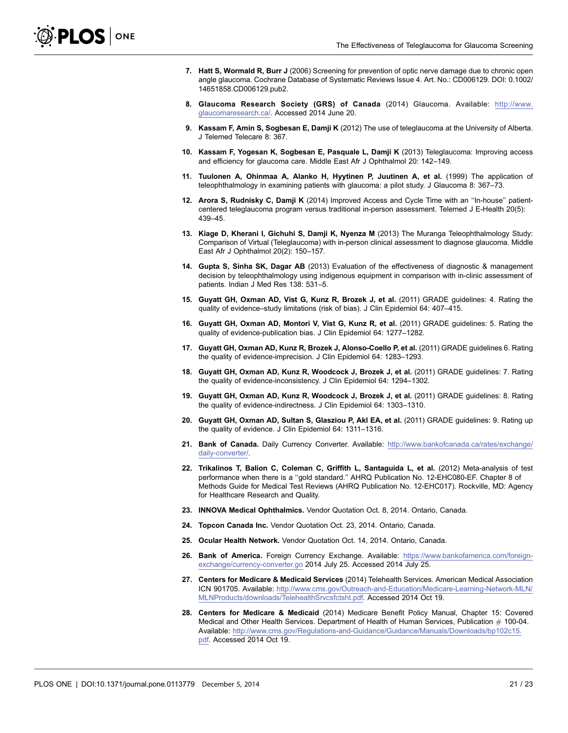- <span id="page-22-0"></span>7. Hatt S, Wormald R, Burr J (2006) Screening for prevention of optic nerve damage due to chronic open angle glaucoma. Cochrane Database of Systematic Reviews Issue 4. Art. No.: CD006129. DOI: 0.1002/ 14651858.CD006129.pub2.
- 8. Glaucoma Research Society (GRS) of Canada (2014) Glaucoma. Available: [http://www.](http://www.glaucomaresearch.ca/) [glaucomaresearch.ca/.](http://www.glaucomaresearch.ca/) Accessed 2014 June 20.
- 9. Kassam F, Amin S, Sogbesan E, Damji K (2012) The use of teleglaucoma at the University of Alberta. J Telemed Telecare 8: 367.
- 10. Kassam F, Yogesan K, Sogbesan E, Pasquale L, Damji K (2013) Teleglaucoma: Improving access and efficiency for glaucoma care. Middle East Afr J Ophthalmol 20: 142–149.
- 11. Tuulonen A, Ohinmaa A, Alanko H, Hyytinen P, Juutinen A, et al. (1999) The application of teleophthalmology in examining patients with glaucoma: a pilot study. J Glaucoma 8: 367–73.
- 12. Arora S, Rudnisky C, Damji K (2014) Improved Access and Cycle Time with an ''In-house'' patientcentered teleglaucoma program versus traditional in-person assessment. Telemed J E-Health 20(5): 439–45.
- 13. Kiage D, Kherani I, Gichuhi S, Damji K, Nyenza M (2013) The Muranga Teleophthalmology Study: Comparison of Virtual (Teleglaucoma) with in-person clinical assessment to diagnose glaucoma. Middle East Afr J Ophthalmol 20(2): 150–157.
- 14. Gupta S, Sinha SK, Dagar AB (2013) Evaluation of the effectiveness of diagnostic & management decision by teleophthalmology using indigenous equipment in comparison with in-clinic assessment of patients. Indian J Med Res 138: 531–5.
- 15. Guyatt GH, Oxman AD, Vist G, Kunz R, Brozek J, et al. (2011) GRADE guidelines: 4. Rating the quality of evidence–study limitations (risk of bias). J Clin Epidemiol 64: 407–415.
- 16. Guyatt GH, Oxman AD, Montori V, Vist G, Kunz R, et al. (2011) GRADE guidelines: 5. Rating the quality of evidence-publication bias. J Clin Epidemiol 64: 1277–1282.
- 17. Guyatt GH, Oxman AD, Kunz R, Brozek J, Alonso-Coello P, et al. (2011) GRADE guidelines 6. Rating the quality of evidence-imprecision. J Clin Epidemiol 64: 1283–1293.
- 18. Guyatt GH, Oxman AD, Kunz R, Woodcock J, Brozek J, et al. (2011) GRADE guidelines: 7. Rating the quality of evidence-inconsistency. J Clin Epidemiol 64: 1294–1302.
- 19. Guyatt GH, Oxman AD, Kunz R, Woodcock J, Brozek J, et al. (2011) GRADE guidelines: 8. Rating the quality of evidence-indirectness. J Clin Epidemiol 64: 1303–1310.
- 20. Guyatt GH, Oxman AD, Sultan S, Glasziou P, Akl EA, et al. (2011) GRADE guidelines: 9. Rating up the quality of evidence. J Clin Epidemiol 64: 1311–1316.
- 21. Bank of Canada. Daily Currency Converter. Available: [http://www.bankofcanada.ca/rates/exchange/](http://www.bankofcanada.ca/rates/exchange/daily-converter/) [daily-converter/.](http://www.bankofcanada.ca/rates/exchange/daily-converter/)
- 22. Trikalinos T, Balion C, Coleman C, Griffith L, Santaguida L, et al. (2012) Meta-analysis of test performance when there is a ''gold standard.'' AHRQ Publication No. 12-EHC080-EF. Chapter 8 of Methods Guide for Medical Test Reviews (AHRQ Publication No. 12-EHC017). Rockville, MD: Agency for Healthcare Research and Quality.
- 23. INNOVA Medical Ophthalmics. Vendor Quotation Oct. 8, 2014. Ontario, Canada.
- 24. Topcon Canada Inc. Vendor Quotation Oct. 23, 2014. Ontario, Canada.
- 25. Ocular Health Network. Vendor Quotation Oct. 14, 2014. Ontario, Canada.
- 26. Bank of America. Foreign Currency Exchange. Available: [https://www.bankofamerica.com/foreign](https://www.bankofamerica.com/foreign-exchange/currency-converter.go)[exchange/currency-converter.go](https://www.bankofamerica.com/foreign-exchange/currency-converter.go) 2014 July 25. Accessed 2014 July 25.
- 27. Centers for Medicare & Medicaid Services (2014) Telehealth Services. American Medical Association ICN 901705. Available: [http://www.cms.gov/Outreach-and-Education/Medicare-Learning-Network-MLN/](http://www.cms.gov/Outreach-and-Education/Medicare-Learning-Network-MLN/MLNProducts/downloads/TelehealthSrvcsfctsht.pdf) [MLNProducts/downloads/TelehealthSrvcsfctsht.pdf.](http://www.cms.gov/Outreach-and-Education/Medicare-Learning-Network-MLN/MLNProducts/downloads/TelehealthSrvcsfctsht.pdf) Accessed 2014 Oct 19.
- 28. Centers for Medicare & Medicaid (2014) Medicare Benefit Policy Manual, Chapter 15: Covered Medical and Other Health Services. Department of Health of Human Services, Publication  $#$  100-04. Available: [http://www.cms.gov/Regulations-and-Guidance/Guidance/Manuals/Downloads/bp102c15.](http://www.cms.gov/Regulations-and-Guidance/Guidance/Manuals/Downloads/bp102c15.pdf) [pdf](http://www.cms.gov/Regulations-and-Guidance/Guidance/Manuals/Downloads/bp102c15.pdf). Accessed 2014 Oct 19.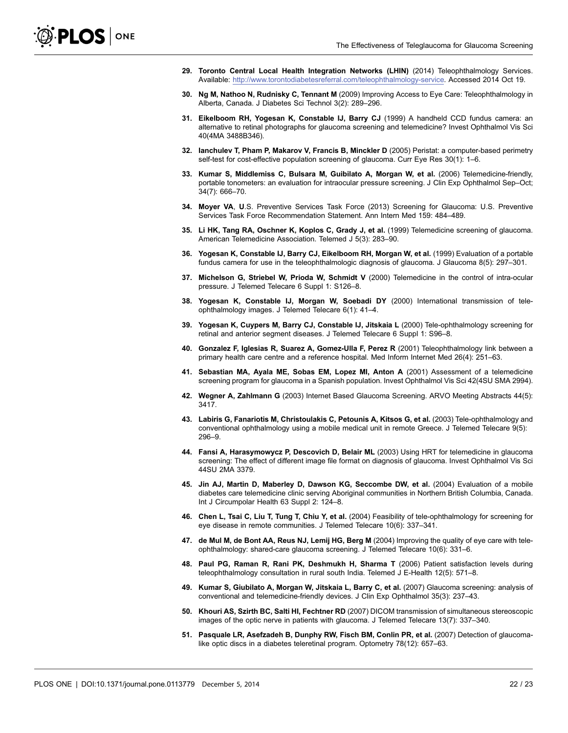- <span id="page-23-0"></span>29. Toronto Central Local Health Integration Networks (LHIN) (2014) Teleophthalmology Services. Available: [http://www.torontodiabetesreferral.com/teleophthalmology-service.](http://www.torontodiabetesreferral.com/teleophthalmology-service) Accessed 2014 Oct 19.
- 30. Ng M, Nathoo N, Rudnisky C, Tennant M (2009) Improving Access to Eye Care: Teleophthalmology in Alberta, Canada. J Diabetes Sci Technol 3(2): 289–296.
- 31. Eikelboom RH, Yogesan K, Constable IJ, Barry CJ (1999) A handheld CCD fundus camera: an alternative to retinal photographs for glaucoma screening and telemedicine? Invest Ophthalmol Vis Sci 40(4MA 3488B346).
- 32. Ianchulev T, Pham P, Makarov V, Francis B, Minckler D (2005) Peristat: a computer-based perimetry self-test for cost-effective population screening of glaucoma. Curr Eye Res 30(1): 1–6.
- 33. Kumar S, Middlemiss C, Bulsara M, Guibilato A, Morgan W, et al. (2006) Telemedicine-friendly, portable tonometers: an evaluation for intraocular pressure screening. J Clin Exp Ophthalmol Sep–Oct; 34(7): 666–70.
- 34. Moyer VA, U.S. Preventive Services Task Force (2013) Screening for Glaucoma: U.S. Preventive Services Task Force Recommendation Statement. Ann Intern Med 159: 484–489.
- 35. Li HK, Tang RA, Oschner K, Koplos C, Grady J, et al. (1999) Telemedicine screening of glaucoma. American Telemedicine Association. Telemed J 5(3): 283–90.
- 36. Yogesan K, Constable IJ, Barry CJ, Eikelboom RH, Morgan W, et al. (1999) Evaluation of a portable fundus camera for use in the teleophthalmologic diagnosis of glaucoma. J Glaucoma 8(5): 297–301.
- 37. Michelson G, Striebel W, Prioda W, Schmidt V (2000) Telemedicine in the control of intra-ocular pressure. J Telemed Telecare 6 Suppl 1: S126–8.
- 38. Yogesan K, Constable IJ, Morgan W, Soebadi DY (2000) International transmission of teleophthalmology images. J Telemed Telecare 6(1): 41–4.
- 39. Yogesan K, Cuypers M, Barry CJ, Constable IJ, Jitskaia L (2000) Tele-ophthalmology screening for retinal and anterior segment diseases. J Telemed Telecare 6 Suppl 1: S96–8.
- 40. Gonzalez F, Iglesias R, Suarez A, Gomez-Ulla F, Perez R (2001) Teleophthalmology link between a primary health care centre and a reference hospital. Med Inform Internet Med 26(4): 251–63.
- 41. Sebastian MA, Ayala ME, Sobas EM, Lopez MI, Anton A (2001) Assessment of a telemedicine screening program for glaucoma in a Spanish population. Invest Ophthalmol Vis Sci 42(4SU SMA 2994).
- 42. Wegner A, Zahlmann G (2003) Internet Based Glaucoma Screening. ARVO Meeting Abstracts 44(5): 3417.
- 43. Labiris G, Fanariotis M, Christoulakis C, Petounis A, Kitsos G, et al. (2003) Tele-ophthalmology and conventional ophthalmology using a mobile medical unit in remote Greece. J Telemed Telecare 9(5): 296–9.
- 44. Fansi A, Harasymowycz P, Descovich D, Belair ML (2003) Using HRT for telemedicine in glaucoma screening: The effect of different image file format on diagnosis of glaucoma. Invest Ophthalmol Vis Sci 44SU 2MA 3379.
- 45. Jin AJ, Martin D, Maberley D, Dawson KG, Seccombe DW, et al. (2004) Evaluation of a mobile diabetes care telemedicine clinic serving Aboriginal communities in Northern British Columbia, Canada. Int J Circumpolar Health 63 Suppl 2: 124–8.
- 46. Chen L, Tsai C, Liu T, Tung T, Chiu Y, et al. (2004) Feasibility of tele-ophthalmology for screening for eye disease in remote communities. J Telemed Telecare 10(6): 337–341.
- 47. de Mul M, de Bont AA, Reus NJ, Lemij HG, Berg M (2004) Improving the quality of eye care with teleophthalmology: shared-care glaucoma screening. J Telemed Telecare 10(6): 331–6.
- 48. Paul PG, Raman R, Rani PK, Deshmukh H, Sharma T (2006) Patient satisfaction levels during teleophthalmology consultation in rural south India. Telemed J E-Health 12(5): 571–8.
- 49. Kumar S, Giubilato A, Morgan W, Jitskaia L, Barry C, et al. (2007) Glaucoma screening: analysis of conventional and telemedicine-friendly devices. J Clin Exp Ophthalmol 35(3): 237–43.
- 50. Khouri AS, Szirth BC, Salti HI, Fechtner RD (2007) DICOM transmission of simultaneous stereoscopic images of the optic nerve in patients with glaucoma. J Telemed Telecare 13(7): 337–340.
- 51. Pasquale LR, Asefzadeh B, Dunphy RW, Fisch BM, Conlin PR, et al. (2007) Detection of glaucomalike optic discs in a diabetes teleretinal program. Optometry 78(12): 657–63.